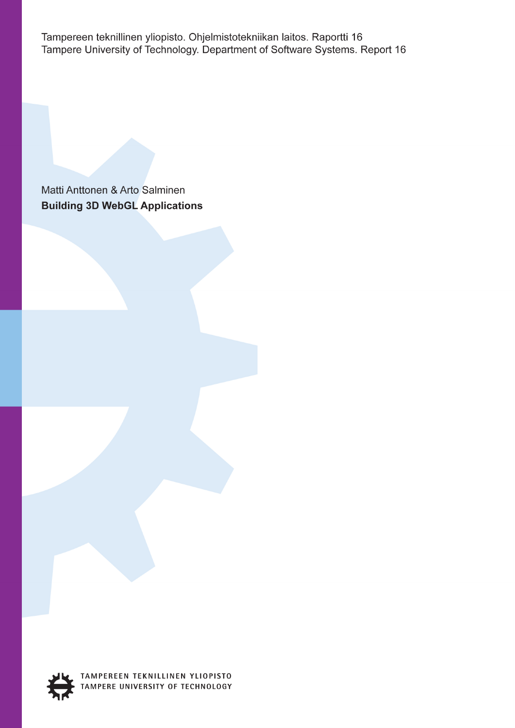Tampereen teknillinen yliopisto. Ohjelmistotekniikan laitos. Raportti 16 Tampere University of Technology. Department of Software Systems. Report 16

Matti Anttonen & Arto Salminen **Building 3D WebGL Applications** 



TAMPEREEN TEKNILLINEN YLIOPISTO TAMPERE UNIVERSITY OF TECHNOLOGY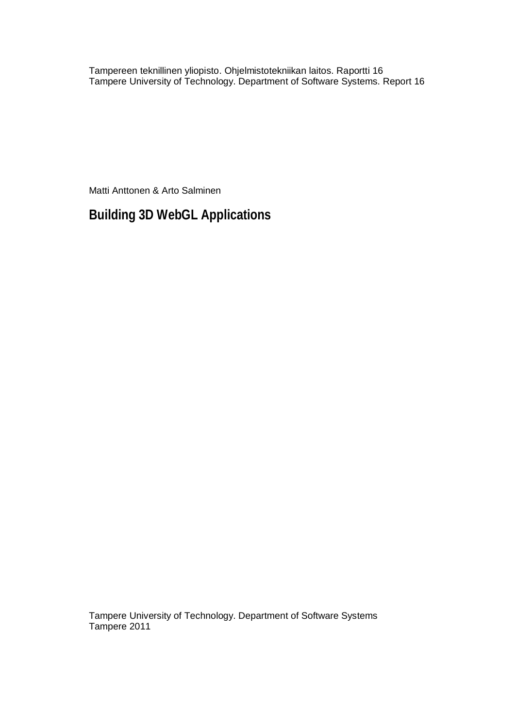Tampereen teknillinen yliopisto. Ohjelmistotekniikan laitos. Raportti 16 Tampere University of Technology. Department of Software Systems. Report 16

Matti Anttonen & Arto Salminen

**Building 3D WebGL Applications** 

Tampere University of Technology. Department of Software Systems Tampere 2011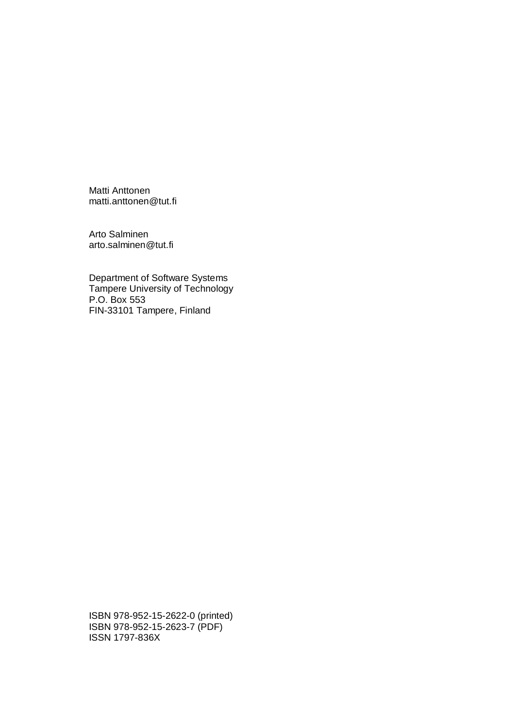Matti Anttonen matti.anttonen@tut.fi

Arto Salminen arto.salminen@tut.fi

Department of Software Systems Tampere University of Technology P.O. Box 553 FIN-33101 Tampere, Finland

ISBN 978-952-15-2622-0 (printed) ISBN 978-952-15-2623-7 (PDF) ISSN 1797-836X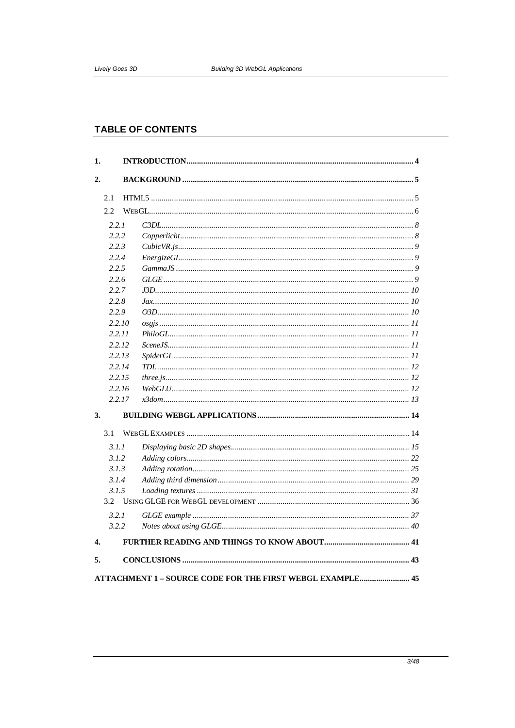# **TABLE OF CONTENTS**

| 2.<br>2.1<br>2.2<br>2.2.1<br>2.2.2<br>2.2.3<br>2.2.4<br>2.2.5<br>2.2.6<br>2.2.7<br>2.2.8<br>2.2.9<br>2.2.10<br>2.2.11<br>2.2.12<br>2.2.13<br>2.2.14<br>2.2.15<br>2.2.16<br>2.2.17<br>3.<br>3.1<br>3.1.1<br>3.1.2<br>3.1.3<br>3.1.4<br>3.1.5<br>3.2<br>3.2.1<br>3.2.2<br>4.<br>5.<br>ATTACHMENT 1 - SOURCE CODE FOR THE FIRST WEBGL EXAMPLE 45 | 1. |  |  |
|-----------------------------------------------------------------------------------------------------------------------------------------------------------------------------------------------------------------------------------------------------------------------------------------------------------------------------------------------|----|--|--|
|                                                                                                                                                                                                                                                                                                                                               |    |  |  |
|                                                                                                                                                                                                                                                                                                                                               |    |  |  |
|                                                                                                                                                                                                                                                                                                                                               |    |  |  |
|                                                                                                                                                                                                                                                                                                                                               |    |  |  |
|                                                                                                                                                                                                                                                                                                                                               |    |  |  |
|                                                                                                                                                                                                                                                                                                                                               |    |  |  |
|                                                                                                                                                                                                                                                                                                                                               |    |  |  |
|                                                                                                                                                                                                                                                                                                                                               |    |  |  |
|                                                                                                                                                                                                                                                                                                                                               |    |  |  |
|                                                                                                                                                                                                                                                                                                                                               |    |  |  |
|                                                                                                                                                                                                                                                                                                                                               |    |  |  |
|                                                                                                                                                                                                                                                                                                                                               |    |  |  |
|                                                                                                                                                                                                                                                                                                                                               |    |  |  |
|                                                                                                                                                                                                                                                                                                                                               |    |  |  |
|                                                                                                                                                                                                                                                                                                                                               |    |  |  |
|                                                                                                                                                                                                                                                                                                                                               |    |  |  |
|                                                                                                                                                                                                                                                                                                                                               |    |  |  |
|                                                                                                                                                                                                                                                                                                                                               |    |  |  |
|                                                                                                                                                                                                                                                                                                                                               |    |  |  |
|                                                                                                                                                                                                                                                                                                                                               |    |  |  |
|                                                                                                                                                                                                                                                                                                                                               |    |  |  |
|                                                                                                                                                                                                                                                                                                                                               |    |  |  |
|                                                                                                                                                                                                                                                                                                                                               |    |  |  |
|                                                                                                                                                                                                                                                                                                                                               |    |  |  |
|                                                                                                                                                                                                                                                                                                                                               |    |  |  |
|                                                                                                                                                                                                                                                                                                                                               |    |  |  |
|                                                                                                                                                                                                                                                                                                                                               |    |  |  |
|                                                                                                                                                                                                                                                                                                                                               |    |  |  |
|                                                                                                                                                                                                                                                                                                                                               |    |  |  |
|                                                                                                                                                                                                                                                                                                                                               |    |  |  |
|                                                                                                                                                                                                                                                                                                                                               |    |  |  |
|                                                                                                                                                                                                                                                                                                                                               |    |  |  |
|                                                                                                                                                                                                                                                                                                                                               |    |  |  |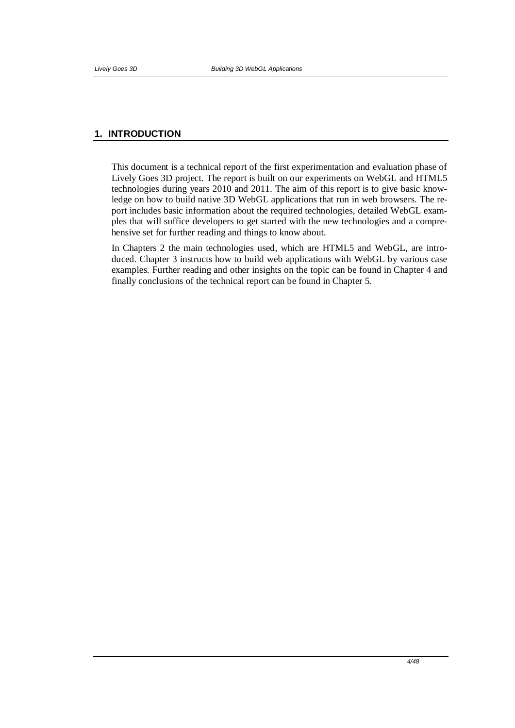## **1. INTRODUCTION**

This document is a technical report of the first experimentation and evaluation phase of Lively Goes 3D project. The report is built on our experiments on WebGL and HTML5 technologies during years 2010 and 2011. The aim of this report is to give basic knowledge on how to build native 3D WebGL applications that run in web browsers. The report includes basic information about the required technologies, detailed WebGL examples that will suffice developers to get started with the new technologies and a comprehensive set for further reading and things to know about.

In Chapters 2 the main technologies used, which are HTML5 and WebGL, are introduced. Chapter 3 instructs how to build web applications with WebGL by various case examples. Further reading and other insights on the topic can be found in Chapter 4 and finally conclusions of the technical report can be found in Chapter 5.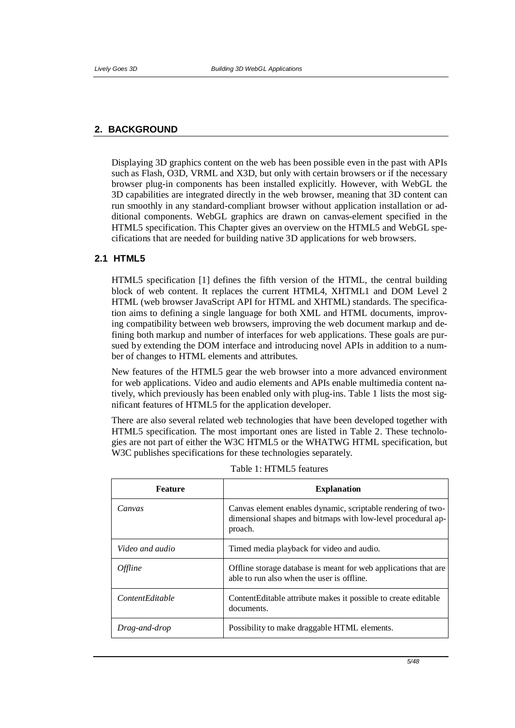## **2. BACKGROUND**

Displaying 3D graphics content on the web has been possible even in the past with APIs such as Flash, O3D, VRML and X3D, but only with certain browsers or if the necessary browser plug-in components has been installed explicitly. However, with WebGL the 3D capabilities are integrated directly in the web browser, meaning that 3D content can run smoothly in any standard-compliant browser without application installation or additional components. WebGL graphics are drawn on canvas-element specified in the HTML5 specification. This Chapter gives an overview on the HTML5 and WebGL specifications that are needed for building native 3D applications for web browsers.

## **2.1 HTML5**

HTML5 specification [1] defines the fifth version of the HTML, the central building block of web content. It replaces the current HTML4, XHTML1 and DOM Level 2 HTML (web browser JavaScript API for HTML and XHTML) standards. The specification aims to defining a single language for both XML and HTML documents, improving compatibility between web browsers, improving the web document markup and defining both markup and number of interfaces for web applications. These goals are pursued by extending the DOM interface and introducing novel APIs in addition to a number of changes to HTML elements and attributes.

New features of the HTML5 gear the web browser into a more advanced environment for web applications. Video and audio elements and APIs enable multimedia content natively, which previously has been enabled only with plug-ins. Table 1 lists the most significant features of HTML5 for the application developer.

There are also several related web technologies that have been developed together with HTML5 specification. The most important ones are listed in Table 2. These technologies are not part of either the W3C HTML5 or the WHATWG HTML specification, but W3C publishes specifications for these technologies separately.

| Feature                | <b>Explanation</b>                                                                                                                      |  |
|------------------------|-----------------------------------------------------------------------------------------------------------------------------------------|--|
| Canvas                 | Canvas element enables dynamic, scriptable rendering of two-<br>dimensional shapes and bitmaps with low-level procedural ap-<br>proach. |  |
| Video and audio        | Timed media playback for video and audio.                                                                                               |  |
| <i>Offline</i>         | Offline storage database is meant for web applications that are<br>able to run also when the user is offline.                           |  |
| <i>ContentEditable</i> | ContentEditable attribute makes it possible to create editable<br>documents.                                                            |  |
| Drag-and-drop          | Possibility to make draggable HTML elements.                                                                                            |  |

Table 1: HTML5 features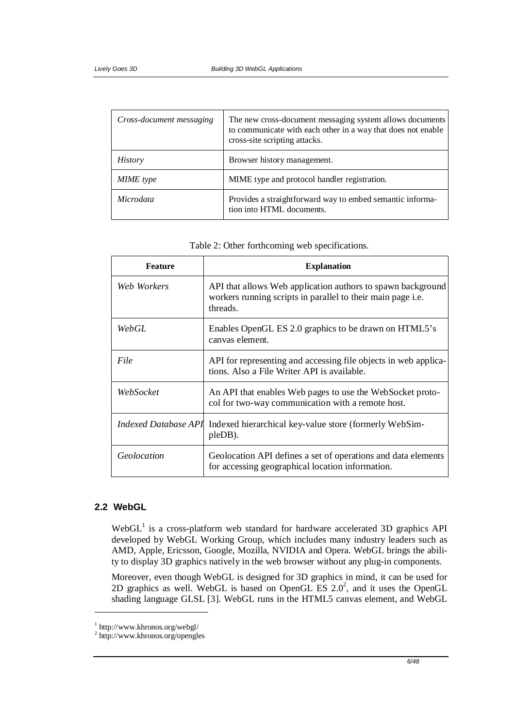| Cross-document messaging | The new cross-document messaging system allows documents<br>to communicate with each other in a way that does not enable<br>cross-site scripting attacks. |  |  |
|--------------------------|-----------------------------------------------------------------------------------------------------------------------------------------------------------|--|--|
| <i>History</i>           | Browser history management.                                                                                                                               |  |  |
| <b>MIME</b> type         | MIME type and protocol handler registration.                                                                                                              |  |  |
| <i>Microdata</i>         | Provides a straightforward way to embed semantic informa-<br>tion into HTML documents.                                                                    |  |  |

| <b>Feature</b>       | <b>Explanation</b>                                                                                                                     |
|----------------------|----------------------------------------------------------------------------------------------------------------------------------------|
| Web Workers          | API that allows Web application authors to spawn background<br>workers running scripts in parallel to their main page i.e.<br>threads. |
| WebGL                | Enables OpenGL ES 2.0 graphics to be drawn on HTML5's<br>canvas element.                                                               |
| File                 | API for representing and accessing file objects in web applica-<br>tions. Also a File Writer API is available.                         |
| WebSocket            | An API that enables Web pages to use the WebSocket proto-<br>col for two-way communication with a remote host.                         |
| Indexed Database API | Indexed hierarchical key-value store (formerly WebSim-<br>pleDB).                                                                      |
| Geolocation          | Geolocation API defines a set of operations and data elements<br>for accessing geographical location information.                      |

|  |  | Table 2: Other forthcoming web specifications. |
|--|--|------------------------------------------------|
|  |  |                                                |

# **2.2 WebGL**

1

 $WebGL<sup>1</sup>$  is a cross-platform web standard for hardware accelerated 3D graphics API developed by WebGL Working Group, which includes many industry leaders such as AMD, Apple, Ericsson, Google, Mozilla, NVIDIA and Opera. WebGL brings the ability to display 3D graphics natively in the web browser without any plug-in components.

Moreover, even though WebGL is designed for 3D graphics in mind, it can be used for 2D graphics as well. WebGL is based on OpenGL ES  $2.0^2$ , and it uses the OpenGL shading language GLSL [3]. WebGL runs in the HTML5 canvas element, and WebGL

<sup>&</sup>lt;sup>1</sup> http://www.khronos.org/webgl/<br><sup>2</sup> http://www.khronos.org/opengles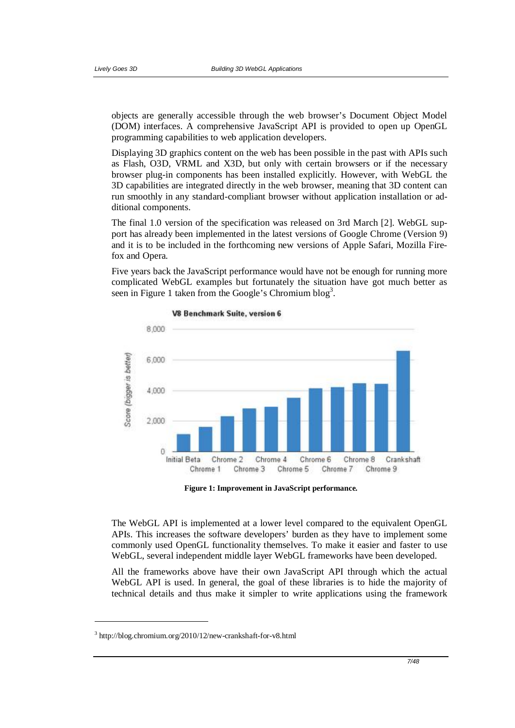objects are generally accessible through the web browser's Document Object Model (DOM) interfaces. A comprehensive JavaScript API is provided to open up OpenGL programming capabilities to web application developers.

Displaying 3D graphics content on the web has been possible in the past with APIs such as Flash, O3D, VRML and X3D, but only with certain browsers or if the necessary browser plug-in components has been installed explicitly. However, with WebGL the 3D capabilities are integrated directly in the web browser, meaning that 3D content can run smoothly in any standard-compliant browser without application installation or additional components.

The final 1.0 version of the specification was released on 3rd March [2]. WebGL support has already been implemented in the latest versions of Google Chrome (Version 9) and it is to be included in the forthcoming new versions of Apple Safari, Mozilla Firefox and Opera.

Five years back the JavaScript performance would have not be enough for running more complicated WebGL examples but fortunately the situation have got much better as seen in Figure 1 taken from the Google's Chromium blog<sup>3</sup>.





**Figure 1: Improvement in JavaScript performance.**

The WebGL API is implemented at a lower level compared to the equivalent OpenGL APIs. This increases the software developers' burden as they have to implement some commonly used OpenGL functionality themselves. To make it easier and faster to use WebGL, several independent middle layer WebGL frameworks have been developed.

All the frameworks above have their own JavaScript API through which the actual WebGL API is used. In general, the goal of these libraries is to hide the majority of technical details and thus make it simpler to write applications using the framework

<u>.</u>

<sup>3</sup> http://blog.chromium.org/2010/12/new-crankshaft-for-v8.html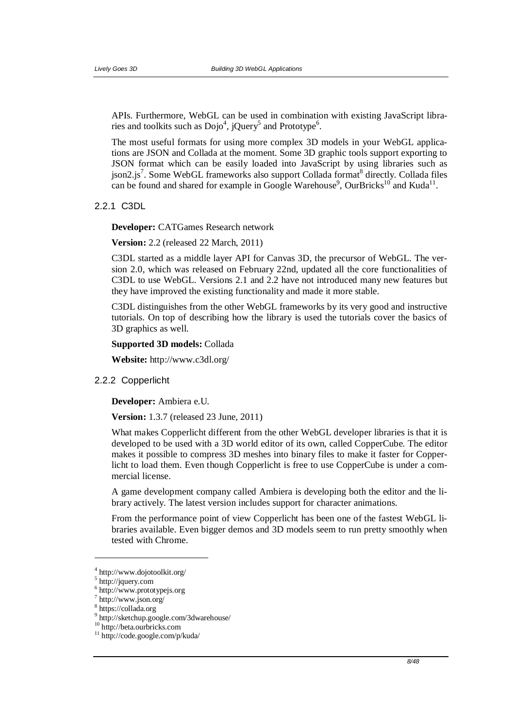APIs. Furthermore, WebGL can be used in combination with existing JavaScript libraries and toolkits such as  $Dojo^4$ , jQuery<sup>5</sup> and Prototype<sup>6</sup>.

The most useful formats for using more complex 3D models in your WebGL applications are JSON and Collada at the moment. Some 3D graphic tools support exporting to JSON format which can be easily loaded into JavaScript by using libraries such as json2.js<sup>7</sup>. Some WebGL frameworks also support Collada format<sup>8</sup> directly. Collada files can be found and shared for example in Google Warehouse<sup>9</sup>, OurBricks<sup>10</sup> and Kuda<sup>11</sup>.

2.2.1 C3DL

**Developer:** CATGames Research network

**Version:** 2.2 (released 22 March, 2011)

C3DL started as a middle layer API for Canvas 3D, the precursor of WebGL. The version 2.0, which was released on February 22nd, updated all the core functionalities of C3DL to use WebGL. Versions 2.1 and 2.2 have not introduced many new features but they have improved the existing functionality and made it more stable.

C3DL distinguishes from the other WebGL frameworks by its very good and instructive tutorials. On top of describing how the library is used the tutorials cover the basics of 3D graphics as well.

**Supported 3D models:** Collada

**Website:** http://www.c3dl.org/

## 2.2.2 Copperlicht

**Developer:** Ambiera e.U.

**Version:** 1.3.7 (released 23 June, 2011)

What makes Copperlicht different from the other WebGL developer libraries is that it is developed to be used with a 3D world editor of its own, called CopperCube. The editor makes it possible to compress 3D meshes into binary files to make it faster for Copperlicht to load them. Even though Copperlicht is free to use CopperCube is under a commercial license.

A game development company called Ambiera is developing both the editor and the library actively. The latest version includes support for character animations.

From the performance point of view Copperlicht has been one of the fastest WebGL libraries available. Even bigger demos and 3D models seem to run pretty smoothly when tested with Chrome.

<u>.</u>

<sup>4</sup> http://www.dojotoolkit.org/

<sup>5</sup> http://jquery.com

<sup>6</sup> http://www.prototypejs.org

<sup>7</sup> http://www.json.org/

<sup>8</sup> https://collada.org

<sup>9</sup> http://sketchup.google.com/3dwarehouse/

<sup>10</sup> http://beta.ourbricks.com

<sup>11</sup> http://code.google.com/p/kuda/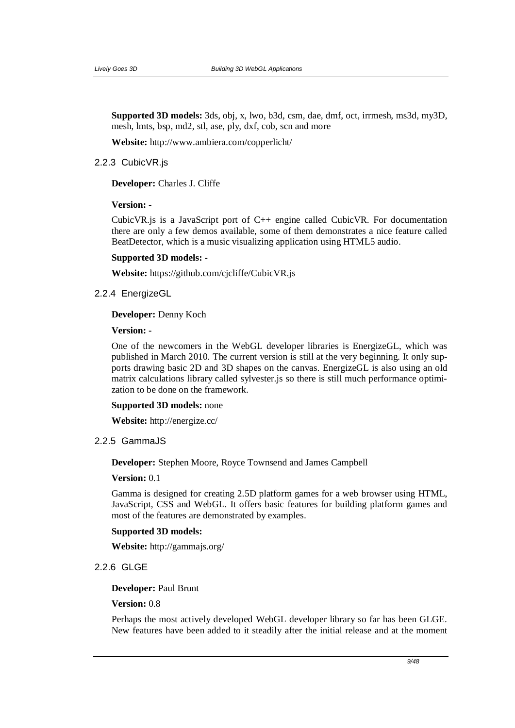**Supported 3D models:** 3ds, obj, x, lwo, b3d, csm, dae, dmf, oct, irrmesh, ms3d, my3D, mesh, lmts, bsp, md2, stl, ase, ply, dxf, cob, scn and more

**Website:** http://www.ambiera.com/copperlicht/

#### 2.2.3 CubicVR.js

**Developer:** Charles J. Cliffe

## **Version: -**

CubicVR.js is a JavaScript port of C++ engine called CubicVR. For documentation there are only a few demos available, some of them demonstrates a nice feature called BeatDetector, which is a music visualizing application using HTML5 audio.

### **Supported 3D models: -**

**Website:** https://github.com/cjcliffe/CubicVR.js

## 2.2.4 EnergizeGL

#### **Developer:** Denny Koch

**Version: -** 

One of the newcomers in the WebGL developer libraries is EnergizeGL, which was published in March 2010. The current version is still at the very beginning. It only supports drawing basic 2D and 3D shapes on the canvas. EnergizeGL is also using an old matrix calculations library called sylvester.js so there is still much performance optimization to be done on the framework.

### **Supported 3D models:** none

**Website:** http://energize.cc/

## 2.2.5 GammaJS

**Developer:** Stephen Moore, Royce Townsend and James Campbell

#### **Version:** 0.1

Gamma is designed for creating 2.5D platform games for a web browser using HTML, JavaScript, CSS and WebGL. It offers basic features for building platform games and most of the features are demonstrated by examples.

#### **Supported 3D models:**

**Website:** http://gammajs.org/

# 2.2.6 GLGE

#### **Developer:** Paul Brunt

## **Version:** 0.8

Perhaps the most actively developed WebGL developer library so far has been GLGE. New features have been added to it steadily after the initial release and at the moment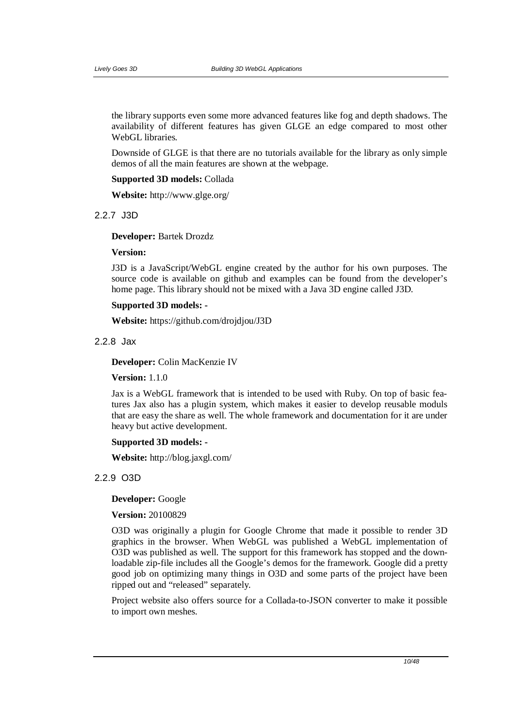the library supports even some more advanced features like fog and depth shadows. The availability of different features has given GLGE an edge compared to most other WebGL libraries.

Downside of GLGE is that there are no tutorials available for the library as only simple demos of all the main features are shown at the webpage.

#### **Supported 3D models:** Collada

**Website:** http://www.glge.org/

### 2.2.7 J3D

#### **Developer:** Bartek Drozdz

### **Version:**

J3D is a JavaScript/WebGL engine created by the author for his own purposes. The source code is available on github and examples can be found from the developer's home page. This library should not be mixed with a Java 3D engine called J3D.

## **Supported 3D models: -**

**Website:** https://github.com/drojdjou/J3D

#### 2.2.8 Jax

**Developer:** Colin MacKenzie IV

**Version:** 1.1.0

Jax is a WebGL framework that is intended to be used with Ruby. On top of basic features Jax also has a plugin system, which makes it easier to develop reusable moduls that are easy the share as well. The whole framework and documentation for it are under heavy but active development.

## **Supported 3D models: -**

**Website:** http://blog.jaxgl.com/

## 2.2.9 O3D

### **Developer:** Google

## **Version:** 20100829

O3D was originally a plugin for Google Chrome that made it possible to render 3D graphics in the browser. When WebGL was published a WebGL implementation of O3D was published as well. The support for this framework has stopped and the downloadable zip-file includes all the Google's demos for the framework. Google did a pretty good job on optimizing many things in O3D and some parts of the project have been ripped out and "released" separately.

Project website also offers source for a Collada-to-JSON converter to make it possible to import own meshes.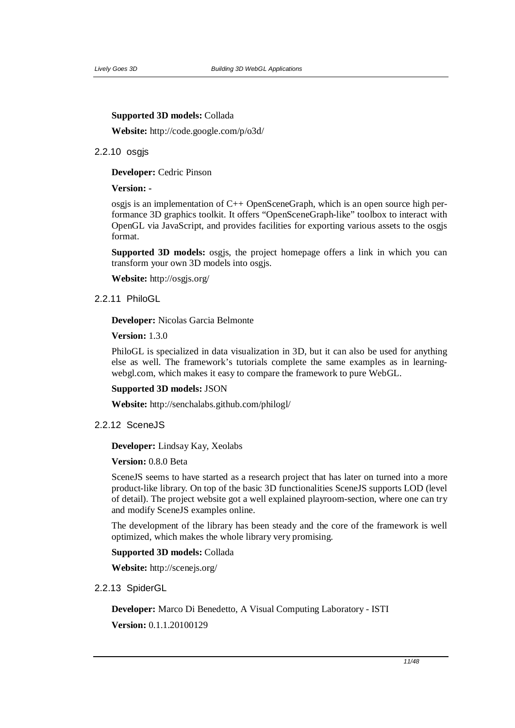#### **Supported 3D models:** Collada

**Website:** http://code.google.com/p/o3d/

### 2.2.10 osgjs

**Developer:** Cedric Pinson

#### **Version: -**

osgjs is an implementation of C++ OpenSceneGraph, which is an open source high performance 3D graphics toolkit. It offers "OpenSceneGraph-like" toolbox to interact with OpenGL via JavaScript, and provides facilities for exporting various assets to the osgjs format.

**Supported 3D models:** osgjs, the project homepage offers a link in which you can transform your own 3D models into osgjs.

**Website:** http://osgjs.org/

### 2.2.11 PhiloGL

**Developer:** Nicolas Garcia Belmonte

**Version:** 1.3.0

PhiloGL is specialized in data visualization in 3D, but it can also be used for anything else as well. The framework's tutorials complete the same examples as in learningwebgl.com, which makes it easy to compare the framework to pure WebGL.

## **Supported 3D models:** JSON

**Website:** http://senchalabs.github.com/philogl/

## 2.2.12 SceneJS

#### **Developer:** Lindsay Kay, Xeolabs

### **Version:** 0.8.0 Beta

SceneJS seems to have started as a research project that has later on turned into a more product-like library. On top of the basic 3D functionalities SceneJS supports LOD (level of detail). The project website got a well explained playroom-section, where one can try and modify SceneJS examples online.

The development of the library has been steady and the core of the framework is well optimized, which makes the whole library very promising.

## **Supported 3D models:** Collada

**Website:** http://scenejs.org/

### 2.2.13 SpiderGL

**Developer:** Marco Di Benedetto, A Visual Computing Laboratory - ISTI **Version:** 0.1.1.20100129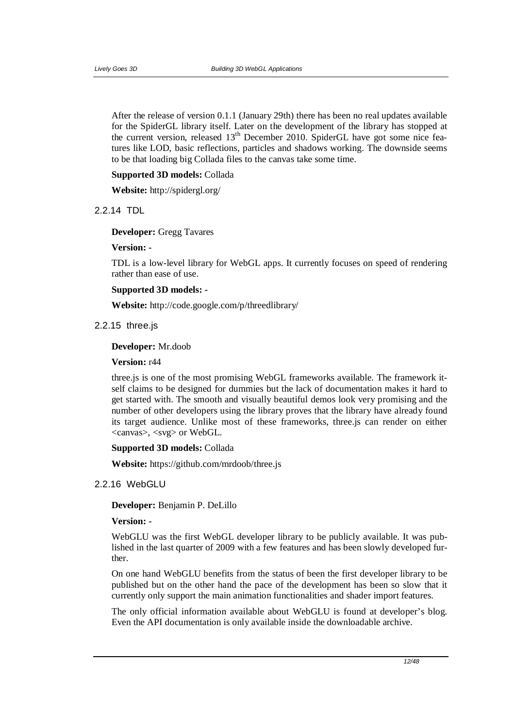After the release of version 0.1.1 (January 29th) there has been no real updates available for the SpiderGL library itself. Later on the development of the library has stopped at the current version, released 13<sup>th</sup> December 2010. SpiderGL have got some nice features like LOD, basic reflections, particles and shadows working. The downside seems to be that loading big Collada files to the canvas take some time.

### **Supported 3D models:** Collada

**Website:** http://spidergl.org/

#### 2.2.14 TDL

**Developer:** Gregg Tavares

### **Version: -**

TDL is a low-level library for WebGL apps. It currently focuses on speed of rendering rather than ease of use.

### **Supported 3D models: -**

**Website:** http://code.google.com/p/threedlibrary/

## 2.2.15 three.js

### **Developer:** Mr.doob

#### **Version:** r44

three.js is one of the most promising WebGL frameworks available. The framework itself claims to be designed for dummies but the lack of documentation makes it hard to get started with. The smooth and visually beautiful demos look very promising and the number of other developers using the library proves that the library have already found its target audience. Unlike most of these frameworks, three.js can render on either <canvas>, <svg> or WebGL.

#### **Supported 3D models:** Collada

**Website:** https://github.com/mrdoob/three.js

#### 2.2.16 WebGLU

**Developer:** Benjamin P. DeLillo

#### **Version: -**

WebGLU was the first WebGL developer library to be publicly available. It was published in the last quarter of 2009 with a few features and has been slowly developed further.

On one hand WebGLU benefits from the status of been the first developer library to be published but on the other hand the pace of the development has been so slow that it currently only support the main animation functionalities and shader import features.

The only official information available about WebGLU is found at developer's blog. Even the API documentation is only available inside the downloadable archive.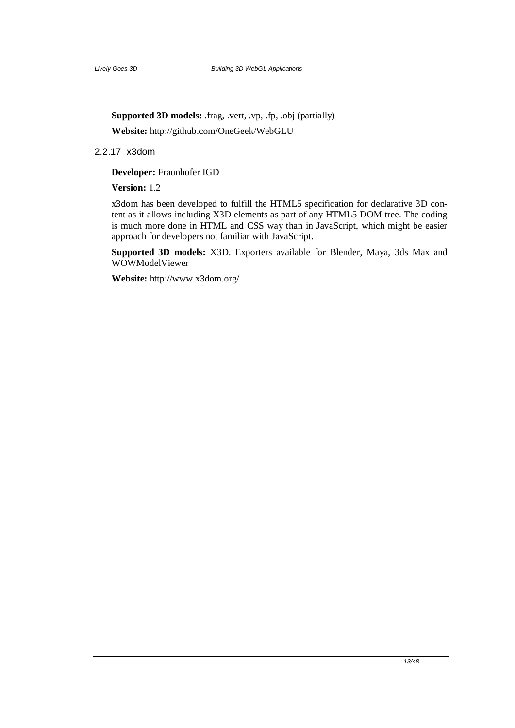**Supported 3D models:** .frag, .vert, .vp, .fp, .obj (partially)

**Website:** http://github.com/OneGeek/WebGLU

2.2.17 x3dom

**Developer:** Fraunhofer IGD

**Version:** 1.2

x3dom has been developed to fulfill the HTML5 specification for declarative 3D content as it allows including X3D elements as part of any HTML5 DOM tree. The coding is much more done in HTML and CSS way than in JavaScript, which might be easier approach for developers not familiar with JavaScript.

**Supported 3D models:** X3D. Exporters available for Blender, Maya, 3ds Max and WOWModelViewer

**Website:** http://www.x3dom.org/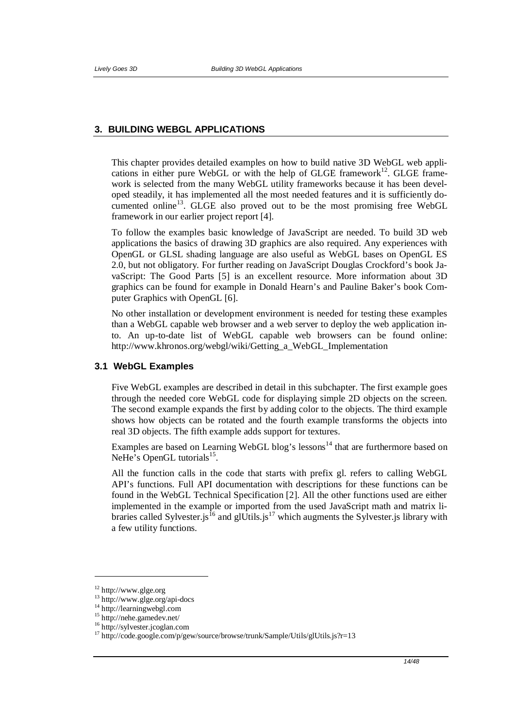## **3. BUILDING WEBGL APPLICATIONS**

This chapter provides detailed examples on how to build native 3D WebGL web applications in either pure WebGL or with the help of GLGE framework<sup>12</sup>. GLGE framework is selected from the many WebGL utility frameworks because it has been developed steadily, it has implemented all the most needed features and it is sufficiently documented online<sup>13</sup>. GLGE also proved out to be the most promising free WebGL framework in our earlier project report [4].

To follow the examples basic knowledge of JavaScript are needed. To build 3D web applications the basics of drawing 3D graphics are also required. Any experiences with OpenGL or GLSL shading language are also useful as WebGL bases on OpenGL ES 2.0, but not obligatory. For further reading on JavaScript Douglas Crockford's book JavaScript: The Good Parts [5] is an excellent resource. More information about 3D graphics can be found for example in Donald Hearn's and Pauline Baker's book Computer Graphics with OpenGL [6].

No other installation or development environment is needed for testing these examples than a WebGL capable web browser and a web server to deploy the web application into. An up-to-date list of WebGL capable web browsers can be found online: http://www.khronos.org/webgl/wiki/Getting\_a\_WebGL\_Implementation

#### **3.1 WebGL Examples**

Five WebGL examples are described in detail in this subchapter. The first example goes through the needed core WebGL code for displaying simple 2D objects on the screen. The second example expands the first by adding color to the objects. The third example shows how objects can be rotated and the fourth example transforms the objects into real 3D objects. The fifth example adds support for textures.

Examples are based on Learning WebGL blog's lessons<sup>14</sup> that are furthermore based on NeHe's OpenGL tutorials<sup>15</sup>.

All the function calls in the code that starts with prefix gl. refers to calling WebGL API's functions. Full API documentation with descriptions for these functions can be found in the WebGL Technical Specification [2]. All the other functions used are either implemented in the example or imported from the used JavaScript math and matrix libraries called Sylvester. is <sup>16</sup> and glUtils. is <sup>17</sup> which augments the Sylvester. is library with a few utility functions.

1

<sup>12</sup> http://www.glge.org

<sup>13</sup> http://www.glge.org/api-docs

<sup>&</sup>lt;sup>14</sup> http://learningwebgl.com

<sup>15</sup> http://nehe.gamedev.net/

<sup>16</sup> http://sylvester.jcoglan.com

<sup>&</sup>lt;sup>17</sup> http://code.google.com/p/gew/source/browse/trunk/Sample/Utils/glUtils.js?r=13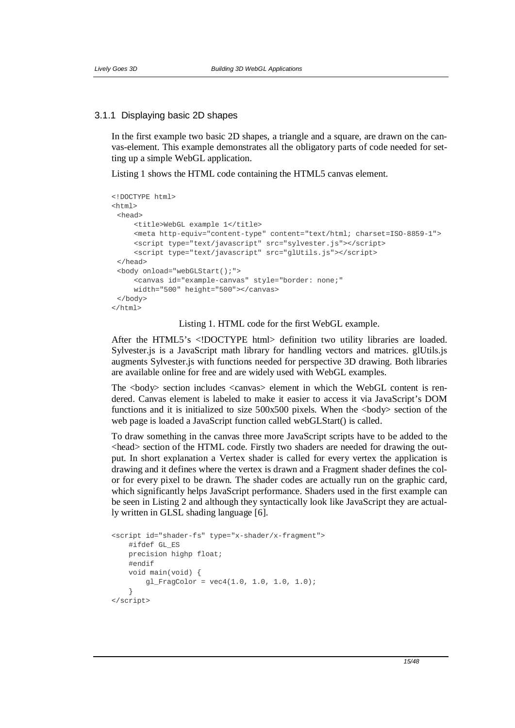#### 3.1.1 Displaying basic 2D shapes

In the first example two basic 2D shapes, a triangle and a square, are drawn on the canvas-element. This example demonstrates all the obligatory parts of code needed for setting up a simple WebGL application.

Listing 1 shows the HTML code containing the HTML5 canvas element.

```
<!DOCTYPE html> 
<h+ml><head> 
     <title>WebGL example 1</title> 
     <meta http-equiv="content-type" content="text/html; charset=ISO-8859-1"> 
     <script type="text/javascript" src="sylvester.js"></script> 
     <script type="text/javascript" src="glUtils.js"></script> 
 </head> 
 <body onload="webGLStart();"> 
     <canvas id="example-canvas" style="border: none;" 
     width="500" height="500"></canvas> 
 </body> 
</html>
```
Listing 1. HTML code for the first WebGL example.

After the HTML5's <!DOCTYPE html> definition two utility libraries are loaded. Sylvester.js is a JavaScript math library for handling vectors and matrices. glUtils.js augments Sylvester.js with functions needed for perspective 3D drawing. Both libraries are available online for free and are widely used with WebGL examples.

The <body> section includes <canvas> element in which the WebGL content is rendered. Canvas element is labeled to make it easier to access it via JavaScript's DOM functions and it is initialized to size  $500x500$  pixels. When the  $\langle \text{body} \rangle$  section of the web page is loaded a JavaScript function called webGLStart() is called.

To draw something in the canvas three more JavaScript scripts have to be added to the <head> section of the HTML code. Firstly two shaders are needed for drawing the output. In short explanation a Vertex shader is called for every vertex the application is drawing and it defines where the vertex is drawn and a Fragment shader defines the color for every pixel to be drawn. The shader codes are actually run on the graphic card, which significantly helps JavaScript performance. Shaders used in the first example can be seen in Listing 2 and although they syntactically look like JavaScript they are actually written in GLSL shading language [6].

```
<script id="shader-fs" type="x-shader/x-fragment"> 
    #ifdef GL_ES 
    precision highp float; 
     #endif 
     void main(void) { 
         gl_FragColor = vec4(1.0, 1.0, 1.0, 1.0); 
 } 
</script>
```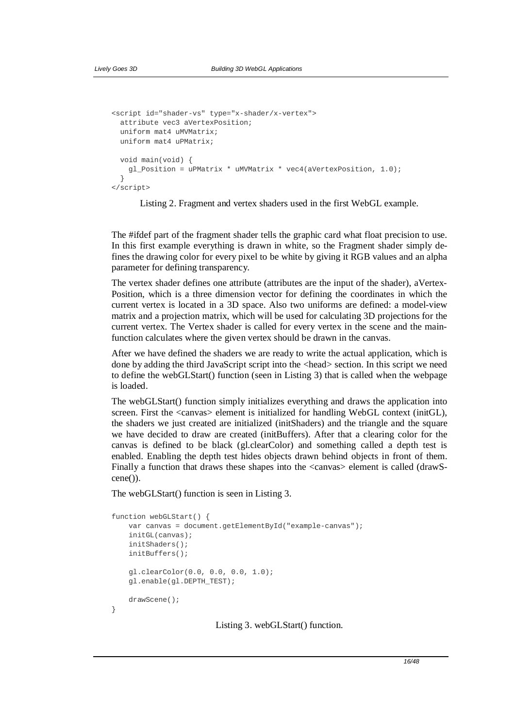```
<script id="shader-vs" type="x-shader/x-vertex"> 
  attribute vec3 aVertexPosition; 
  uniform mat4 uMVMatrix; 
  uniform mat4 uPMatrix; 
  void main(void) { 
    gl_Position = uPMatrix * uMVMatrix * vec4(aVertexPosition, 1.0); 
 } 
</script>
```
Listing 2. Fragment and vertex shaders used in the first WebGL example.

The #ifdef part of the fragment shader tells the graphic card what float precision to use. In this first example everything is drawn in white, so the Fragment shader simply defines the drawing color for every pixel to be white by giving it RGB values and an alpha parameter for defining transparency.

The vertex shader defines one attribute (attributes are the input of the shader), aVertex-Position, which is a three dimension vector for defining the coordinates in which the current vertex is located in a 3D space. Also two uniforms are defined: a model-view matrix and a projection matrix, which will be used for calculating 3D projections for the current vertex. The Vertex shader is called for every vertex in the scene and the mainfunction calculates where the given vertex should be drawn in the canvas.

After we have defined the shaders we are ready to write the actual application, which is done by adding the third JavaScript script into the <head> section. In this script we need to define the webGLStart() function (seen in Listing 3) that is called when the webpage is loaded.

The webGLStart() function simply initializes everything and draws the application into screen. First the  $\langle$ canvas $\rangle$  element is initialized for handling WebGL context (initGL), the shaders we just created are initialized (initShaders) and the triangle and the square we have decided to draw are created (initBuffers). After that a clearing color for the canvas is defined to be black (gl.clearColor) and something called a depth test is enabled. Enabling the depth test hides objects drawn behind objects in front of them. Finally a function that draws these shapes into the <canvas> element is called (drawScene()).

The webGLStart() function is seen in Listing 3.

```
function webGLStart() { 
    var canvas = document.getElementById("example-canvas"); 
     initGL(canvas); 
     initShaders(); 
     initBuffers(); 
     gl.clearColor(0.0, 0.0, 0.0, 1.0); 
     gl.enable(gl.DEPTH_TEST); 
     drawScene(); 
}
```
Listing 3. webGLStart() function.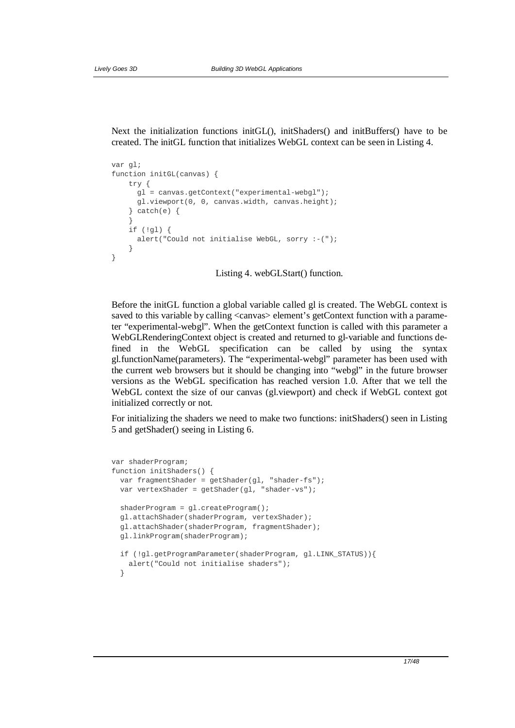Next the initialization functions initGL(), initShaders() and initBuffers() have to be created. The initGL function that initializes WebGL context can be seen in Listing 4.

```
var gl; 
function initGL(canvas) { 
    try { 
      gl = canvas.getContext("experimental-webgl"); 
       gl.viewport(0, 0, canvas.width, canvas.height); 
    \} catch(e) {
 } 
     if (!gl) { 
       alert("Could not initialise WebGL, sorry :-("); 
 } 
}
```
Listing 4. webGLStart() function.

Before the initGL function a global variable called gl is created. The WebGL context is saved to this variable by calling <canvas> element's getContext function with a parameter "experimental-webgl". When the getContext function is called with this parameter a WebGLRenderingContext object is created and returned to gl-variable and functions defined in the WebGL specification can be called by using the syntax gl.functionName(parameters). The "experimental-webgl" parameter has been used with the current web browsers but it should be changing into "webgl" in the future browser versions as the WebGL specification has reached version 1.0. After that we tell the WebGL context the size of our canvas (gl.viewport) and check if WebGL context got initialized correctly or not.

For initializing the shaders we need to make two functions: initShaders() seen in Listing 5 and getShader() seeing in Listing 6.

```
var shaderProgram; 
function initShaders() { 
  var fragmentShader = qetshader(ql, "shader-fs");var vertexShader = qetShader(ql, "shader-vs");
  shaderProgram = gl.createProgram(); 
  gl.attachShader(shaderProgram, vertexShader); 
  gl.attachShader(shaderProgram, fragmentShader); 
   gl.linkProgram(shaderProgram); 
   if (!gl.getProgramParameter(shaderProgram, gl.LINK_STATUS)){ 
    alert("Could not initialise shaders"); 
 }
```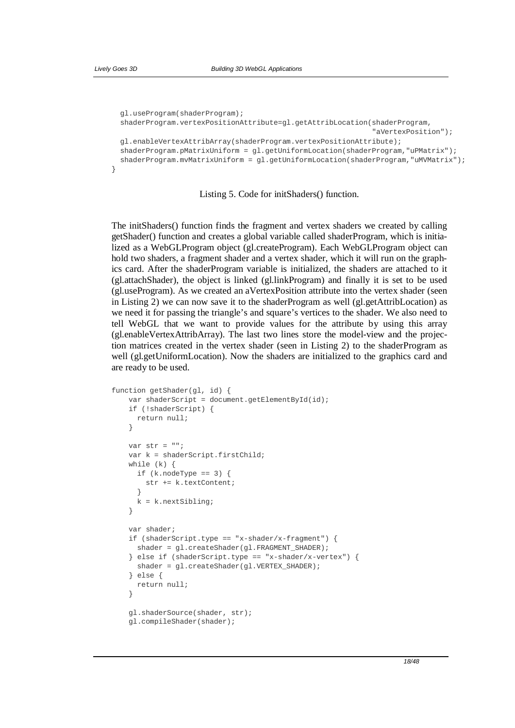```
 gl.useProgram(shaderProgram); 
  shaderProgram.vertexPositionAttribute=gl.getAttribLocation(shaderProgram, 
                                                                "aVertexPosition"); 
  gl.enableVertexAttribArray(shaderProgram.vertexPositionAttribute); 
 shaderProgram.pMatrixUniform = ql.getUniformLocation(shaderProgram,"uPMatrix");
  shaderProgram.mvMatrixUniform = gl.getUniformLocation(shaderProgram,"uMVMatrix"); 
}
```
Listing 5. Code for initShaders() function.

The initShaders() function finds the fragment and vertex shaders we created by calling getShader() function and creates a global variable called shaderProgram, which is initialized as a WebGLProgram object (gl.createProgram). Each WebGLProgram object can hold two shaders, a fragment shader and a vertex shader, which it will run on the graphics card. After the shaderProgram variable is initialized, the shaders are attached to it (gl.attachShader), the object is linked (gl.linkProgram) and finally it is set to be used (gl.useProgram). As we created an aVertexPosition attribute into the vertex shader (seen in Listing 2) we can now save it to the shaderProgram as well (gl.getAttribLocation) as we need it for passing the triangle's and square's vertices to the shader. We also need to tell WebGL that we want to provide values for the attribute by using this array (gl.enableVertexAttribArray). The last two lines store the model-view and the projection matrices created in the vertex shader (seen in Listing 2) to the shaderProgram as well (gl.getUniformLocation). Now the shaders are initialized to the graphics card and are ready to be used.

```
function getShader(gl, id) { 
     var shaderScript = document.getElementById(id); 
     if (!shaderScript) { 
      return null; 
     } 
    var str = " ";
     var k = shaderScript.firstChild; 
     while (k) { 
      if (k.noderype == 3) {
         str += k.textContent; 
 } 
      k = k.nextSibling; } 
     var shader; 
    if (shaderScript.type == "x-shader/x-fragment") {
       shader = gl.createShader(gl.FRAGMENT_SHADER); 
    \} else if (shaderScript.type == "x-shader/x-vertex") {
       shader = gl.createShader(gl.VERTEX_SHADER); 
     } else { 
       return null; 
 } 
     gl.shaderSource(shader, str); 
     gl.compileShader(shader);
```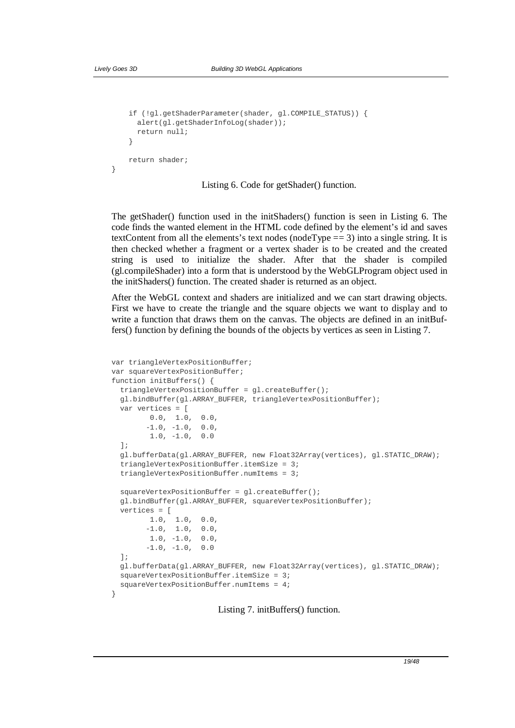}

```
 if (!gl.getShaderParameter(shader, gl.COMPILE_STATUS)) { 
      alert(gl.getShaderInfoLog(shader)); 
      return null; 
 } 
     return shader;
```
Listing 6. Code for getShader() function.

The getShader() function used in the initShaders() function is seen in Listing 6. The code finds the wanted element in the HTML code defined by the element's id and saves textContent from all the elements's text nodes (nodeType == 3) into a single string. It is then checked whether a fragment or a vertex shader is to be created and the created string is used to initialize the shader. After that the shader is compiled (gl.compileShader) into a form that is understood by the WebGLProgram object used in the initShaders() function. The created shader is returned as an object.

After the WebGL context and shaders are initialized and we can start drawing objects. First we have to create the triangle and the square objects we want to display and to write a function that draws them on the canvas. The objects are defined in an initBuffers() function by defining the bounds of the objects by vertices as seen in Listing 7.

```
var triangleVertexPositionBuffer; 
var squareVertexPositionBuffer; 
function initBuffers() { 
  triangleVertexPositionBuffer = gl.createBuffer(); 
  gl.bindBuffer(gl.ARRAY_BUFFER, triangleVertexPositionBuffer); 
  var vertices = [ 
         0.0, 1.0, 0.0, 
        -1.0, -1.0, 0.0, 1.0, -1.0, 0.0 
   ]; 
  gl.bufferData(gl.ARRAY_BUFFER, new Float32Array(vertices), gl.STATIC_DRAW); 
   triangleVertexPositionBuffer.itemSize = 3; 
   triangleVertexPositionBuffer.numItems = 3; 
   squareVertexPositionBuffer = gl.createBuffer(); 
   gl.bindBuffer(gl.ARRAY_BUFFER, squareVertexPositionBuffer); 
   vertices = [ 
         1.0, 1.0, 0.0, 
-1.0, 1.0, 0.0,1.0, -1.0, 0.0,-1.0, -1.0, 0.0 ]; 
   gl.bufferData(gl.ARRAY_BUFFER, new Float32Array(vertices), gl.STATIC_DRAW); 
   squareVertexPositionBuffer.itemSize = 3; 
   squareVertexPositionBuffer.numItems = 4; 
}
```
Listing 7. initBuffers() function.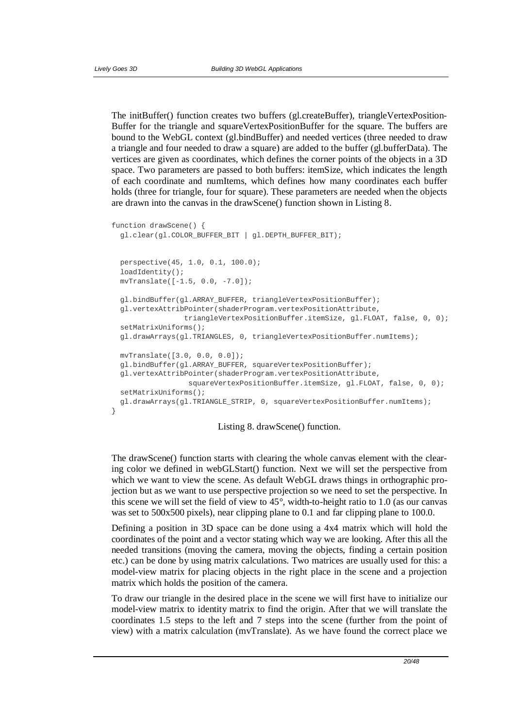The initBuffer() function creates two buffers (gl.createBuffer), triangleVertexPosition-Buffer for the triangle and squareVertexPositionBuffer for the square. The buffers are bound to the WebGL context (gl.bindBuffer) and needed vertices (three needed to draw a triangle and four needed to draw a square) are added to the buffer (gl.bufferData). The vertices are given as coordinates, which defines the corner points of the objects in a 3D space. Two parameters are passed to both buffers: itemSize, which indicates the length of each coordinate and numItems, which defines how many coordinates each buffer holds (three for triangle, four for square). These parameters are needed when the objects are drawn into the canvas in the drawScene() function shown in Listing 8.

```
function drawScene() { 
  gl.clear(gl.COLOR_BUFFER_BIT | gl.DEPTH_BUFFER_BIT); 
  perspective(45, 1.0, 0.1, 100.0); 
   loadIdentity(); 
  mvTranslate([-1.5, 0.0, -7.0]); 
  gl.bindBuffer(gl.ARRAY_BUFFER, triangleVertexPositionBuffer); 
  gl.vertexAttribPointer(shaderProgram.vertexPositionAttribute, 
                 triangleVertexPositionBuffer.itemSize, gl.FLOAT, false, 0, 0); 
  setMatrixUniforms(); 
  gl.drawArrays(gl.TRIANGLES, 0, triangleVertexPositionBuffer.numItems); 
  mvTranslate([3.0, 0.0, 0.0]); 
  gl.bindBuffer(gl.ARRAY_BUFFER, squareVertexPositionBuffer); 
  gl.vertexAttribPointer(shaderProgram.vertexPositionAttribute, 
                   squareVertexPositionBuffer.itemSize, gl.FLOAT, false, 0, 0); 
   setMatrixUniforms(); 
  gl.drawArrays(gl.TRIANGLE_STRIP, 0, squareVertexPositionBuffer.numItems); 
}
```


The drawScene() function starts with clearing the whole canvas element with the clearing color we defined in webGLStart() function. Next we will set the perspective from which we want to view the scene. As default WebGL draws things in orthographic projection but as we want to use perspective projection so we need to set the perspective. In this scene we will set the field of view to  $45^{\circ}$ , width-to-height ratio to 1.0 (as our canvas was set to 500x500 pixels), near clipping plane to 0.1 and far clipping plane to 100.0.

Defining a position in 3D space can be done using a 4x4 matrix which will hold the coordinates of the point and a vector stating which way we are looking. After this all the needed transitions (moving the camera, moving the objects, finding a certain position etc.) can be done by using matrix calculations. Two matrices are usually used for this: a model-view matrix for placing objects in the right place in the scene and a projection matrix which holds the position of the camera.

To draw our triangle in the desired place in the scene we will first have to initialize our model-view matrix to identity matrix to find the origin. After that we will translate the coordinates 1.5 steps to the left and 7 steps into the scene (further from the point of view) with a matrix calculation (mvTranslate). As we have found the correct place we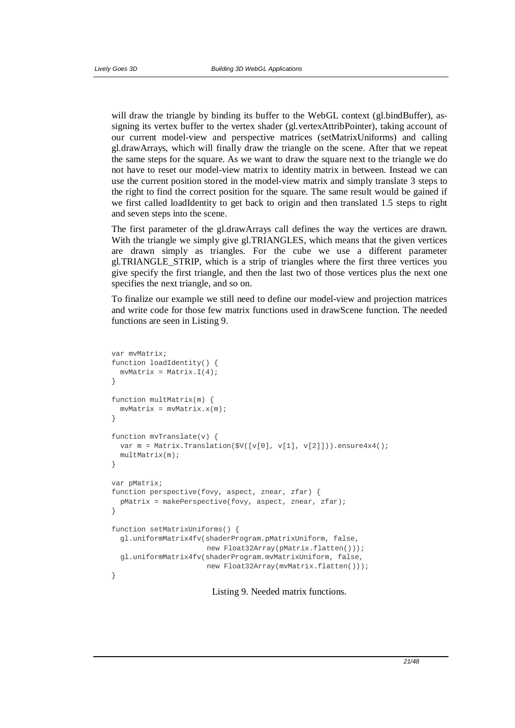will draw the triangle by binding its buffer to the WebGL context (gl.bindBuffer), assigning its vertex buffer to the vertex shader (gl.vertexAttribPointer), taking account of our current model-view and perspective matrices (setMatrixUniforms) and calling gl.drawArrays, which will finally draw the triangle on the scene. After that we repeat the same steps for the square. As we want to draw the square next to the triangle we do not have to reset our model-view matrix to identity matrix in between. Instead we can use the current position stored in the model-view matrix and simply translate 3 steps to the right to find the correct position for the square. The same result would be gained if we first called loadIdentity to get back to origin and then translated 1.5 steps to right and seven steps into the scene.

The first parameter of the gl.drawArrays call defines the way the vertices are drawn. With the triangle we simply give gl.TRIANGLES, which means that the given vertices are drawn simply as triangles. For the cube we use a different parameter gl.TRIANGLE\_STRIP, which is a strip of triangles where the first three vertices you give specify the first triangle, and then the last two of those vertices plus the next one specifies the next triangle, and so on.

To finalize our example we still need to define our model-view and projection matrices and write code for those few matrix functions used in drawScene function. The needed functions are seen in Listing 9.

```
var mvMatrix; 
function loadIdentity() { 
 mvMatrix = Matrix.I(4);} 
function multMatrix(m) { 
 mvMatrix = mvMatrix.x(m);} 
function mvTranslate(v) { 
  var m = Matrix.Translation(\frac{6}{V([v[0], v[1], v[2]])).ensure4x4();
  multMatrix(m); 
} 
var pMatrix; 
function perspective(fovy, aspect, znear, zfar) { 
   pMatrix = makePerspective(fovy, aspect, znear, zfar); 
} 
function setMatrixUniforms() { 
   gl.uniformMatrix4fv(shaderProgram.pMatrixUniform, false, 
                       new Float32Array(pMatrix.flatten())); 
   gl.uniformMatrix4fv(shaderProgram.mvMatrixUniform, false, 
                       new Float32Array(mvMatrix.flatten())); 
}
```
Listing 9. Needed matrix functions.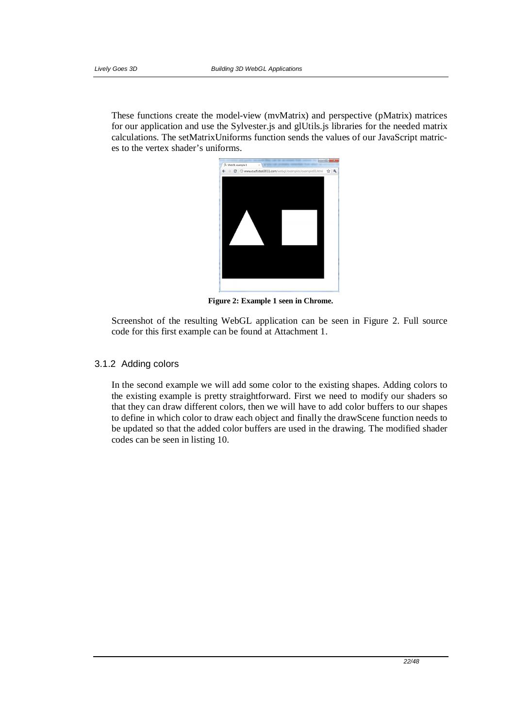These functions create the model-view (mvMatrix) and perspective (pMatrix) matrices for our application and use the Sylvester.js and glUtils.js libraries for the needed matrix calculations. The setMatrixUniforms function sends the values of our JavaScript matrices to the vertex shader's uniforms.



**Figure 2: Example 1 seen in Chrome.**

Screenshot of the resulting WebGL application can be seen in Figure 2. Full source code for this first example can be found at Attachment 1.

## 3.1.2 Adding colors

In the second example we will add some color to the existing shapes. Adding colors to the existing example is pretty straightforward. First we need to modify our shaders so that they can draw different colors, then we will have to add color buffers to our shapes to define in which color to draw each object and finally the drawScene function needs to be updated so that the added color buffers are used in the drawing. The modified shader codes can be seen in listing 10.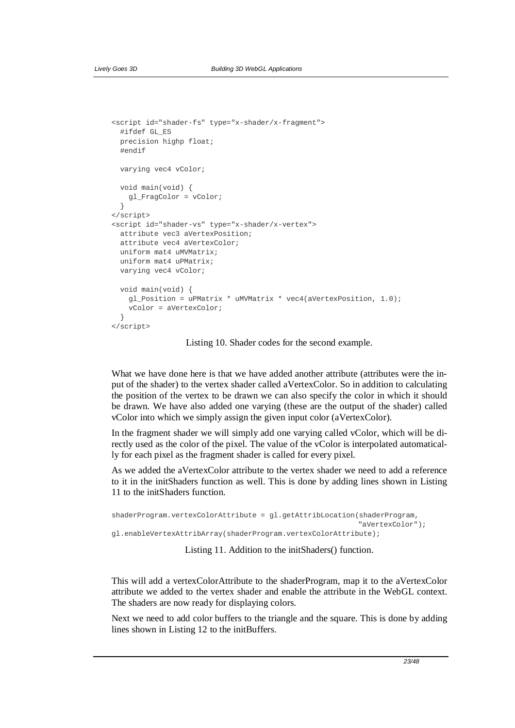```
<script id="shader-fs" type="x-shader/x-fragment"> 
   #ifdef GL_ES 
   precision highp float; 
   #endif 
   varying vec4 vColor; 
   void main(void) { 
     gl_FragColor = vColor; 
   } 
</script> 
<script id="shader-vs" type="x-shader/x-vertex"> 
  attribute vec3 aVertexPosition; 
   attribute vec4 aVertexColor; 
   uniform mat4 uMVMatrix; 
  uniform mat4 uPMatrix; 
  varying vec4 vColor; 
   void main(void) { 
     gl_Position = uPMatrix * uMVMatrix * vec4(aVertexPosition, 1.0); 
     vColor = aVertexColor; 
   } 
</script>
```
Listing 10. Shader codes for the second example.

What we have done here is that we have added another attribute (attributes were the input of the shader) to the vertex shader called aVertexColor. So in addition to calculating the position of the vertex to be drawn we can also specify the color in which it should be drawn. We have also added one varying (these are the output of the shader) called vColor into which we simply assign the given input color (aVertexColor).

In the fragment shader we will simply add one varying called vColor, which will be directly used as the color of the pixel. The value of the vColor is interpolated automatically for each pixel as the fragment shader is called for every pixel.

As we added the aVertexColor attribute to the vertex shader we need to add a reference to it in the initShaders function as well. This is done by adding lines shown in Listing 11 to the initShaders function.

```
shaderProgram.vertexColorAttribute = gl.getAttribLocation(shaderProgram, 
                                                             "aVertexColor"); 
gl.enableVertexAttribArray(shaderProgram.vertexColorAttribute);
```
Listing 11. Addition to the initShaders() function.

This will add a vertexColorAttribute to the shaderProgram, map it to the aVertexColor attribute we added to the vertex shader and enable the attribute in the WebGL context. The shaders are now ready for displaying colors.

Next we need to add color buffers to the triangle and the square. This is done by adding lines shown in Listing 12 to the initBuffers.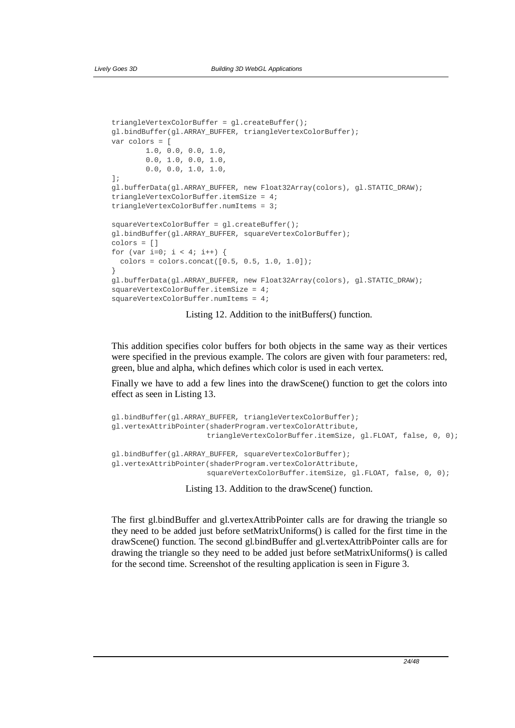```
triangleVertexColorBuffer = gl.createBuffer(); 
gl.bindBuffer(gl.ARRAY_BUFFER, triangleVertexColorBuffer); 
var colors = [ 
         1.0, 0.0, 0.0, 1.0, 
         0.0, 1.0, 0.0, 1.0, 
         0.0, 0.0, 1.0, 1.0, 
]; 
gl.bufferData(gl.ARRAY_BUFFER, new Float32Array(colors), gl.STATIC_DRAW); 
triangleVertexColorBuffer.itemSize = 4; 
triangleVertexColorBuffer.numItems = 3; 
squareVertexColorBuffer = gl.createBuffer(); 
gl.bindBuffer(gl.ARRAY_BUFFER, squareVertexColorBuffer); 
colors = [] 
for (var i=0; i < 4; i++) {
  colors = colors.concat([0.5, 0.5, 1.0, 1.0]);} 
gl.bufferData(gl.ARRAY_BUFFER, new Float32Array(colors), gl.STATIC_DRAW); 
squareVertexColorBuffer.itemSize = 4; 
squareVertexColorBuffer.numItems = 4;
```
Listing 12. Addition to the initBuffers() function.

This addition specifies color buffers for both objects in the same way as their vertices were specified in the previous example. The colors are given with four parameters: red, green, blue and alpha, which defines which color is used in each vertex.

Finally we have to add a few lines into the drawScene() function to get the colors into effect as seen in Listing 13.

```
gl.bindBuffer(gl.ARRAY_BUFFER, triangleVertexColorBuffer); 
gl.vertexAttribPointer(shaderProgram.vertexColorAttribute, 
                      triangleVertexColorBuffer.itemSize, gl.FLOAT, false, 0, 0); 
gl.bindBuffer(gl.ARRAY_BUFFER, squareVertexColorBuffer); 
gl.vertexAttribPointer(shaderProgram.vertexColorAttribute, 
                      squareVertexColorBuffer.itemSize, gl.FLOAT, false, 0, 0);
```
Listing 13. Addition to the drawScene() function.

The first gl.bindBuffer and gl.vertexAttribPointer calls are for drawing the triangle so they need to be added just before setMatrixUniforms() is called for the first time in the drawScene() function. The second gl.bindBuffer and gl.vertexAttribPointer calls are for drawing the triangle so they need to be added just before setMatrixUniforms() is called for the second time. Screenshot of the resulting application is seen in Figure 3.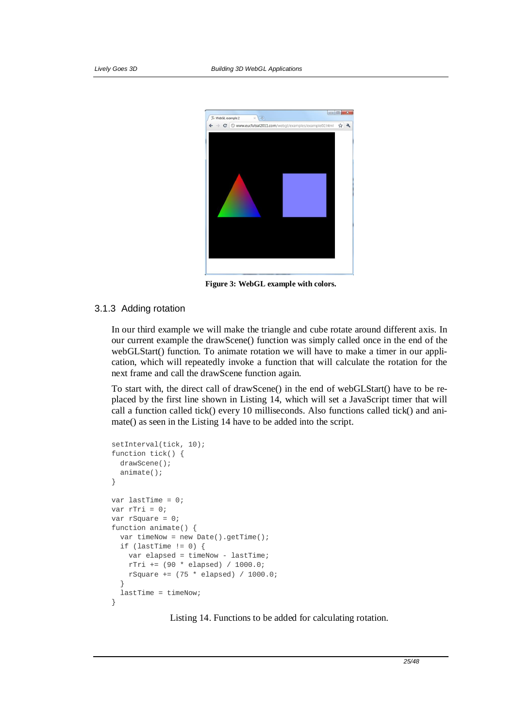

**Figure 3: WebGL example with colors.**

## 3.1.3 Adding rotation

In our third example we will make the triangle and cube rotate around different axis. In our current example the drawScene() function was simply called once in the end of the webGLStart() function. To animate rotation we will have to make a timer in our application, which will repeatedly invoke a function that will calculate the rotation for the next frame and call the drawScene function again.

To start with, the direct call of drawScene() in the end of webGLStart() have to be replaced by the first line shown in Listing 14, which will set a JavaScript timer that will call a function called tick() every 10 milliseconds. Also functions called tick() and animate() as seen in the Listing 14 have to be added into the script.

```
setInterval(tick, 10); 
function tick() { 
  drawScene();
   animate(); 
} 
var lastTime = 0; 
var rTri = 0; 
var rSquare = 0; 
function animate() { 
  var timeNow = new Date().getTime(); 
 if (lastTime != 0) {
     var elapsed = timeNow - lastTime; 
    rTri += (90 * elapsed) / 1000.0; 
   rSquare += (75 * elapsed) / 1000.0; } 
   lastTime = timeNow; 
}
```
Listing 14. Functions to be added for calculating rotation.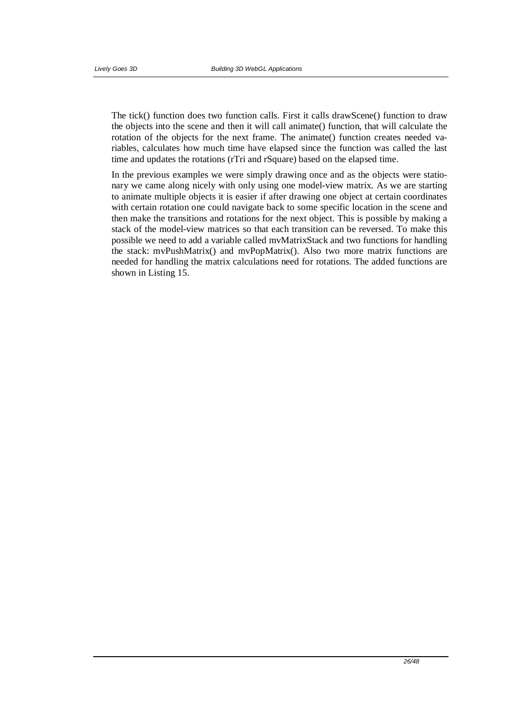The tick() function does two function calls. First it calls drawScene() function to draw the objects into the scene and then it will call animate() function, that will calculate the rotation of the objects for the next frame. The animate() function creates needed variables, calculates how much time have elapsed since the function was called the last time and updates the rotations (rTri and rSquare) based on the elapsed time.

In the previous examples we were simply drawing once and as the objects were stationary we came along nicely with only using one model-view matrix. As we are starting to animate multiple objects it is easier if after drawing one object at certain coordinates with certain rotation one could navigate back to some specific location in the scene and then make the transitions and rotations for the next object. This is possible by making a stack of the model-view matrices so that each transition can be reversed. To make this possible we need to add a variable called mvMatrixStack and two functions for handling the stack: mvPushMatrix() and mvPopMatrix(). Also two more matrix functions are needed for handling the matrix calculations need for rotations. The added functions are shown in Listing 15.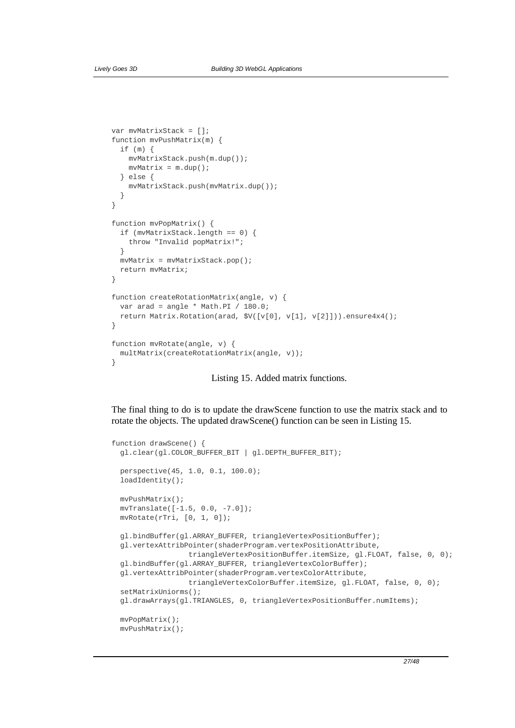```
var mvMatrixStack = []; 
function mvPushMatrix(m) { 
  if (m) { 
    mvMatrixStack.push(m.dup()); 
    mvMatrix = m.dup(); 
   } else { 
    mvMatrixStack.push(mvMatrix.dup()); 
   } 
} 
function mvPopMatrix() { 
   if (mvMatrixStack.length == 0) { 
    throw "Invalid popMatrix!"; 
   } 
  mvMatrix = mvMatrixStack.pop(); 
  return mvMatrix; 
} 
function createRotationMatrix(angle, v) { 
  var arad = angle * Math.PI / 180.0; 
  return Matrix.Rotation(arad, $V([v[0], v[1], v[2]])).ensure4x4(); 
} 
function mvRotate(angle, v) { 
  multMatrix(createRotationMatrix(angle, v)); 
}
```
Listing 15. Added matrix functions.

The final thing to do is to update the drawScene function to use the matrix stack and to rotate the objects. The updated drawScene() function can be seen in Listing 15.

```
function drawScene() { 
  gl.clear(gl.COLOR_BUFFER_BIT | gl.DEPTH_BUFFER_BIT); 
  perspective(45, 1.0, 0.1, 100.0); 
  loadIdentity(); 
  mvPushMatrix(); 
  mvTranslate([-1.5, 0.0, -7.0]); 
  mvRotate(rTri, [0, 1, 0]); 
  gl.bindBuffer(gl.ARRAY_BUFFER, triangleVertexPositionBuffer); 
  gl.vertexAttribPointer(shaderProgram.vertexPositionAttribute, 
                   triangleVertexPositionBuffer.itemSize, gl.FLOAT, false, 0, 0); 
  gl.bindBuffer(gl.ARRAY_BUFFER, triangleVertexColorBuffer); 
  gl.vertexAttribPointer(shaderProgram.vertexColorAttribute, 
                   triangleVertexColorBuffer.itemSize, gl.FLOAT, false, 0, 0); 
  setMatrixUniorms(); 
  gl.drawArrays(gl.TRIANGLES, 0, triangleVertexPositionBuffer.numItems); 
  mvPopMatrix(); 
  mvPushMatrix();
```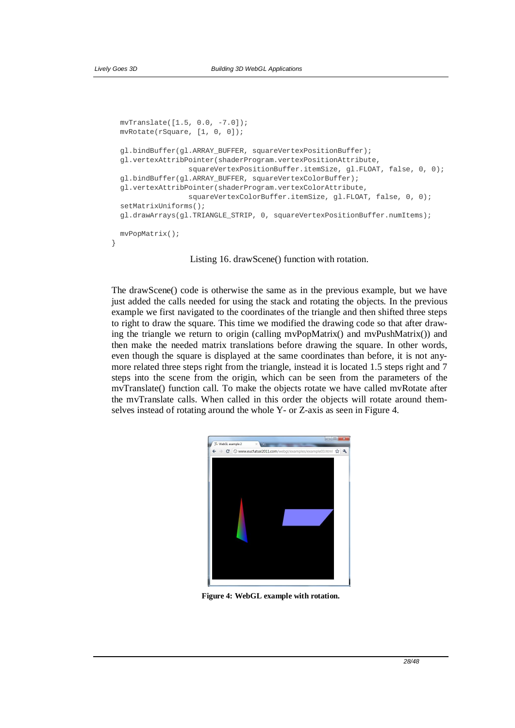```
 mvTranslate([1.5, 0.0, -7.0]); 
  mvRotate(rSquare, [1, 0, 0]); 
  gl.bindBuffer(gl.ARRAY_BUFFER, squareVertexPositionBuffer); 
  gl.vertexAttribPointer(shaderProgram.vertexPositionAttribute, 
                   squareVertexPositionBuffer.itemSize, gl.FLOAT, false, 0, 0); 
  gl.bindBuffer(gl.ARRAY_BUFFER, squareVertexColorBuffer); 
  gl.vertexAttribPointer(shaderProgram.vertexColorAttribute, 
                   squareVertexColorBuffer.itemSize, gl.FLOAT, false, 0, 0); 
  setMatrixUniforms(); 
  gl.drawArrays(gl.TRIANGLE_STRIP, 0, squareVertexPositionBuffer.numItems); 
  mvPopMatrix(); 
}
```
Listing 16. drawScene() function with rotation.

The drawScene() code is otherwise the same as in the previous example, but we have just added the calls needed for using the stack and rotating the objects. In the previous example we first navigated to the coordinates of the triangle and then shifted three steps to right to draw the square. This time we modified the drawing code so that after drawing the triangle we return to origin (calling mvPopMatrix() and mvPushMatrix()) and then make the needed matrix translations before drawing the square. In other words, even though the square is displayed at the same coordinates than before, it is not anymore related three steps right from the triangle, instead it is located 1.5 steps right and 7 steps into the scene from the origin, which can be seen from the parameters of the mvTranslate() function call. To make the objects rotate we have called mvRotate after the mvTranslate calls. When called in this order the objects will rotate around themselves instead of rotating around the whole Y- or Z-axis as seen in Figure 4.



**Figure 4: WebGL example with rotation.**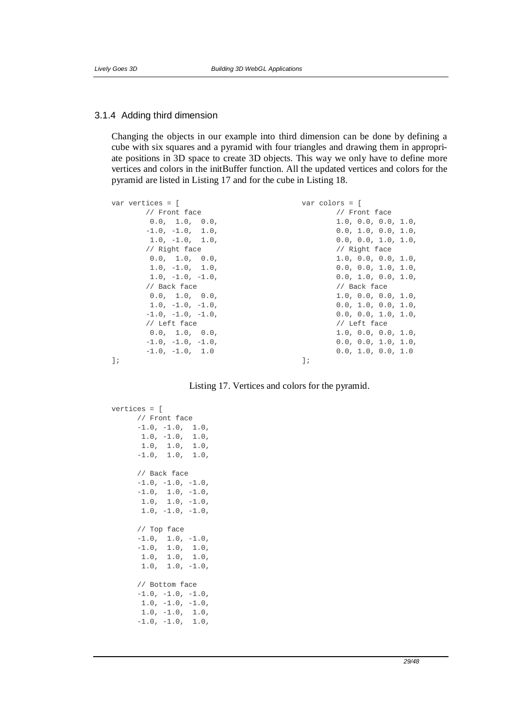### 3.1.4 Adding third dimension

Changing the objects in our example into third dimension can be done by defining a cube with six squares and a pyramid with four triangles and drawing them in appropriate positions in 3D space to create 3D objects. This way we only have to define more vertices and colors in the initBuffer function. All the updated vertices and colors for the pyramid are listed in Listing 17 and for the cube in Listing 18.

| var vertices = [    | $var$ colors = $\lceil$ |
|---------------------|-------------------------|
| // Front face       | // Front face           |
| 0.0, 1.0, 0.0,      | 1.0, 0.0, 0.0, 1.0,     |
| $-1.0, -1.0, 1.0,$  | 0.0, 1.0, 0.0, 1.0,     |
| $1.0, -1.0, 1.0,$   | 0.0, 0.0, 1.0, 1.0,     |
| // Right face       | // Right face           |
| 0.0, 1.0, 0.0,      | 1.0, 0.0, 0.0, 1.0,     |
| $1.0, -1.0, 1.0,$   | 0.0, 0.0, 1.0, 1.0,     |
| $1.0, -1.0, -1.0,$  | 0.0, 1.0, 0.0, 1.0,     |
| // Back face        | // Back face            |
| 0.0, 1.0, 0.0,      | 1.0, 0.0, 0.0, 1.0,     |
| $1.0, -1.0, -1.0,$  | 0.0, 1.0, 0.0, 1.0,     |
| $-1.0, -1.0, -1.0,$ | 0.0, 0.0, 1.0, 1.0,     |
| // Left face        | // Left face            |
| 0.0, 1.0, 0.0,      | 1.0, 0.0, 0.0, 1.0,     |
| $-1.0, -1.0, -1.0,$ | 0.0, 0.0, 1.0, 1.0,     |
| $-1.0, -1.0, 1.0$   | 0.0, 1.0, 0.0, 1.0      |
| $\exists$ ;         | $\exists$ ;             |
|                     |                         |

Listing 17. Vertices and colors for the pyramid.

```
vertices = [ 
     // Front face 
-1.0, -1.0, 1.0,
 1.0, -1.0, 1.0, 
 1.0, 1.0, 1.0, 
     -1.0, 1.0, 1.0, // Back face 
     -1.0, -1.0, -1.0,-1.0, 1.0, -1.0,
     1.0, 1.0, -1.0,1.0, -1.0, -1.0, // Top face 
-1.0, 1.0, -1.0,
-1.0, 1.0, 1.0, 1.0, 1.0, 1.0, 
      1.0, 1.0, -1.0, 
      // Bottom face 
     -1.0, -1.0, -1.0,1.0, -1.0, -1.0,1.0, -1.0, 1.0,-1.0, -1.0, 1.0,
```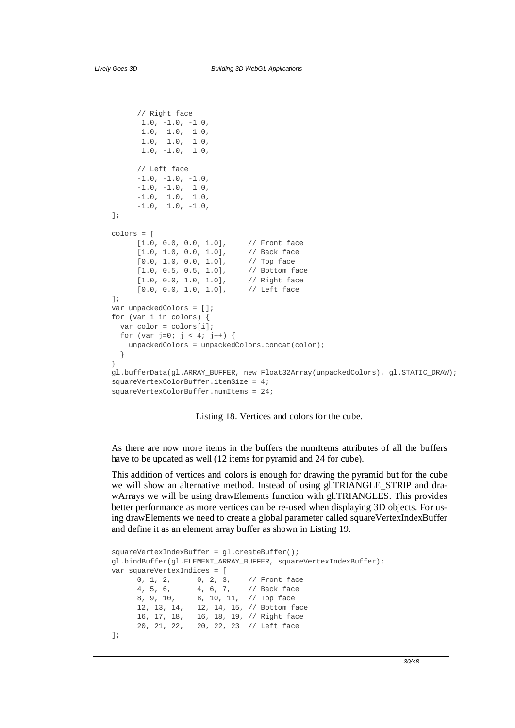```
 // Right face 
       1.0, -1.0, -1.0,1.0, 1.0, -1.0, 1.0, 1.0, 1.0, 
 1.0, -1.0, 1.0, 
       // Left face 
      -1.0, -1.0, -1.0,-1.0, -1.0, 1.0,-1.0, 1.0, 1.0,-1.0, 1.0, -1.0,]; 
colors = [ 
      [1.0, 0.0, 0.0, 1.0], // Front face 
       [1.0, 1.0, 0.0, 1.0], // Back face 
      [0.0, 1.0, 0.0, 1.0], // Top face<br>[1.0, 0.5, 0.5, 1.0], // Bottom face
      [1.0, 0.5, 0.5, 1.0],[1.0, 0.0, 1.0, 1.0], // Right face<br>[0.0, 0.0, 1.0, 1.0], // Left face
      [0.0, 0.0, 1.0, 1.0],]; 
var unpackedColors = []; 
for (var i in colors) { 
  var color = colors[i]; 
 for (var j=0; j < 4; j++) {
     unpackedColors = unpackedColors.concat(color); 
 } 
} 
gl.bufferData(gl.ARRAY_BUFFER, new Float32Array(unpackedColors), gl.STATIC_DRAW); 
squareVertexColorBuffer.itemSize = 4; 
squareVertexColorBuffer.numItems = 24;
```
Listing 18. Vertices and colors for the cube.

As there are now more items in the buffers the numItems attributes of all the buffers have to be updated as well (12 items for pyramid and 24 for cube).

This addition of vertices and colors is enough for drawing the pyramid but for the cube we will show an alternative method. Instead of using gl.TRIANGLE\_STRIP and drawArrays we will be using drawElements function with gl.TRIANGLES. This provides better performance as more vertices can be re-used when displaying 3D objects. For using drawElements we need to create a global parameter called squareVertexIndexBuffer and define it as an element array buffer as shown in Listing 19.

```
squareVertexIndexBuffer = gl.createBuffer(); 
gl.bindBuffer(gl.ELEMENT_ARRAY_BUFFER, squareVertexIndexBuffer); 
var squareVertexIndices = [ 
       0, 1, 2, 0, 2, 3, // Front face 
       4, 5, 6, 4, 6, 7, // Back face 
       8, 9, 10, 8, 10, 11, // Top face 
       12, 13, 14, 12, 14, 15, // Bottom face 
       16, 17, 18, 16, 18, 19, // Right face 
                     20, 21, 22, 20, 22, 23 // Left face 
];
```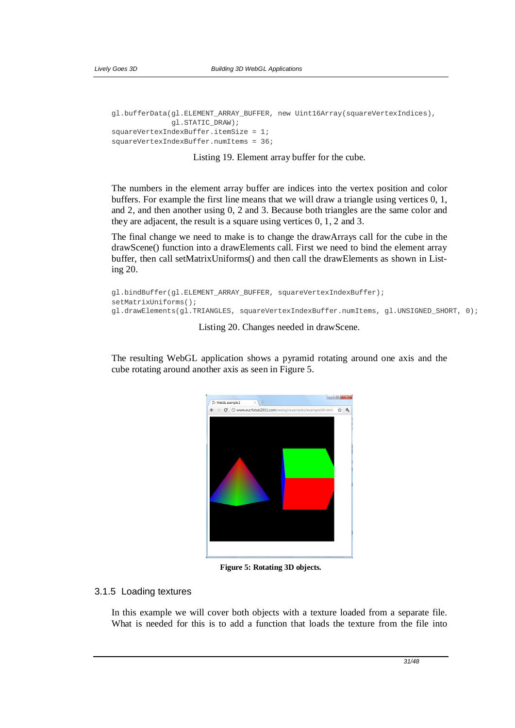```
gl.bufferData(gl.ELEMENT_ARRAY_BUFFER, new Uint16Array(squareVertexIndices), 
               gl.STATIC_DRAW); 
squareVertexIndexBuffer.itemSize = 1; 
squareVertexIndexBuffer.numItems = 36;
```
Listing 19. Element array buffer for the cube.

The numbers in the element array buffer are indices into the vertex position and color buffers. For example the first line means that we will draw a triangle using vertices 0, 1, and 2, and then another using 0, 2 and 3. Because both triangles are the same color and they are adjacent, the result is a square using vertices 0, 1, 2 and 3.

The final change we need to make is to change the drawArrays call for the cube in the drawScene() function into a drawElements call. First we need to bind the element array buffer, then call setMatrixUniforms() and then call the drawElements as shown in Listing 20.

```
gl.bindBuffer(gl.ELEMENT_ARRAY_BUFFER, squareVertexIndexBuffer); 
setMatrixUniforms(); 
gl.drawElements(gl.TRIANGLES, squareVertexIndexBuffer.numItems, gl.UNSIGNED_SHORT, 0);
```
Listing 20. Changes needed in drawScene.

The resulting WebGL application shows a pyramid rotating around one axis and the cube rotating around another axis as seen in Figure 5.



**Figure 5: Rotating 3D objects.**

### 3.1.5 Loading textures

In this example we will cover both objects with a texture loaded from a separate file. What is needed for this is to add a function that loads the texture from the file into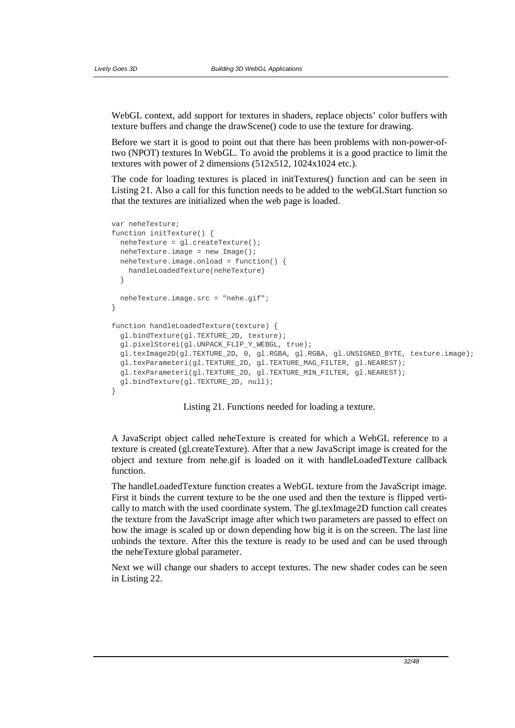WebGL context, add support for textures in shaders, replace objects' color buffers with texture buffers and change the drawScene() code to use the texture for drawing.

Before we start it is good to point out that there has been problems with non-power-oftwo (NPOT) textures In WebGL. To avoid the problems it is a good practice to limit the textures with power of 2 dimensions (512x512, 1024x1024 etc.).

The code for loading textures is placed in initTextures() function and can be seen in Listing 21. Also a call for this function needs to be added to the webGLStart function so that the textures are initialized when the web page is loaded.

```
var neheTexture; 
function initTexture() { 
  neheTexture = gl.createTexture(); 
   neheTexture.image = new Image(); 
  neheTexture.image.onload = function() { 
     handleLoadedTexture(neheTexture) 
   } 
   neheTexture.image.src = "nehe.gif"; 
} 
function handleLoadedTexture(texture) { 
   gl.bindTexture(gl.TEXTURE_2D, texture); 
   gl.pixelStorei(gl.UNPACK_FLIP_Y_WEBGL, true); 
   gl.texImage2D(gl.TEXTURE_2D, 0, gl.RGBA, gl.RGBA, gl.UNSIGNED_BYTE, texture.image); 
   gl.texParameteri(gl.TEXTURE_2D, gl.TEXTURE_MAG_FILTER, gl.NEAREST); 
  gl.texParameteri(gl.TEXTURE_2D, gl.TEXTURE_MIN_FILTER, gl.NEAREST); 
   gl.bindTexture(gl.TEXTURE_2D, null); 
}
```
Listing 21. Functions needed for loading a texture.

A JavaScript object called neheTexture is created for which a WebGL reference to a texture is created (gl.createTexture). After that a new JavaScript image is created for the object and texture from nehe.gif is loaded on it with handleLoadedTexture callback function.

The handleLoadedTexture function creates a WebGL texture from the JavaScript image. First it binds the current texture to be the one used and then the texture is flipped vertically to match with the used coordinate system. The gl.texImage2D function call creates the texture from the JavaScript image after which two parameters are passed to effect on how the image is scaled up or down depending how big it is on the screen. The last line unbinds the texture. After this the texture is ready to be used and can be used through the neheTexture global parameter.

Next we will change our shaders to accept textures. The new shader codes can be seen in Listing 22.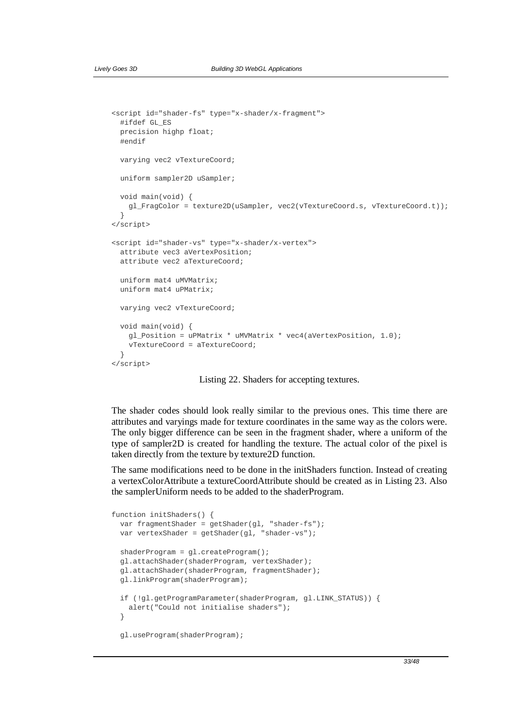```
<script id="shader-fs" type="x-shader/x-fragment"> 
  #ifdef GL_ES 
  precision highp float; 
  #endif 
  varying vec2 vTextureCoord; 
  uniform sampler2D uSampler; 
  void main(void) { 
    gl_FragColor = texture2D(uSampler, vec2(vTextureCoord.s, vTextureCoord.t)); 
   } 
</script> 
<script id="shader-vs" type="x-shader/x-vertex"> 
  attribute vec3 aVertexPosition; 
  attribute vec2 aTextureCoord; 
  uniform mat4 uMVMatrix; 
  uniform mat4 uPMatrix; 
 varying vec2 vTextureCoord;
  void main(void) { 
    gl_Position = uPMatrix * uMVMatrix * vec4(aVertexPosition, 1.0); 
    vTextureCoord = aTextureCoord; 
 } 
</script>
```
Listing 22. Shaders for accepting textures.

The shader codes should look really similar to the previous ones. This time there are attributes and varyings made for texture coordinates in the same way as the colors were. The only bigger difference can be seen in the fragment shader, where a uniform of the type of sampler2D is created for handling the texture. The actual color of the pixel is taken directly from the texture by texture2D function.

The same modifications need to be done in the initShaders function. Instead of creating a vertexColorAttribute a textureCoordAttribute should be created as in Listing 23. Also the samplerUniform needs to be added to the shaderProgram.

```
function initShaders() { 
  var fragmentShader = getShader(gl, "shader-fs");
 var vertexShader = qetShader(ql, "shader-vs");
   shaderProgram = gl.createProgram(); 
  gl.attachShader(shaderProgram, vertexShader); 
  gl.attachShader(shaderProgram, fragmentShader); 
  gl.linkProgram(shaderProgram); 
   if (!gl.getProgramParameter(shaderProgram, gl.LINK_STATUS)) { 
     alert("Could not initialise shaders"); 
   } 
   gl.useProgram(shaderProgram);
```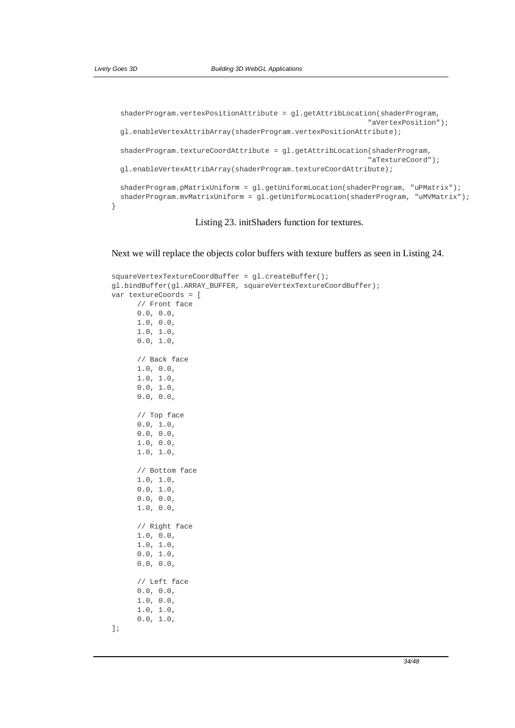}

```
 shaderProgram.vertexPositionAttribute = gl.getAttribLocation(shaderProgram, 
                                                             "aVertexPosition"); 
 gl.enableVertexAttribArray(shaderProgram.vertexPositionAttribute); 
 shaderProgram.textureCoordAttribute = gl.getAttribLocation(shaderProgram, 
                                                             "aTextureCoord"); 
 gl.enableVertexAttribArray(shaderProgram.textureCoordAttribute); 
shaderProgram.pMatrixUniform = gl.getUniformLocation(shaderProgram, "uPMatrix");
shaderProgram.mvMatrixUniform = gl.getUniformLocation(shaderProgram, "uMVMatrix");
```
## Listing 23. initShaders function for textures.

Next we will replace the objects color buffers with texture buffers as seen in Listing 24.

```
squareVertexTextureCoordBuffer = gl.createBuffer(); 
gl.bindBuffer(gl.ARRAY_BUFFER, squareVertexTextureCoordBuffer); 
var textureCoords = [ 
       // Front face 
       0.0, 0.0, 
       1.0, 0.0, 
       1.0, 1.0, 
       0.0, 1.0, 
       // Back face 
       1.0, 0.0, 
       1.0, 1.0, 
      0.0, 1.0, 0.0, 0.0, 
       // Top face 
      0.0, 1.0, 0.0, 0.0, 
       1.0, 0.0, 
       1.0, 1.0, 
       // Bottom face 
       1.0, 1.0, 
      0.0, 1.0,0.0, 0.0, 1.0, 0.0, 
       // Right face 
       1.0, 0.0, 
       1.0, 1.0, 
      0.0, 1.0,0.0, 0.0, // Left face 
       0.0, 0.0, 
       1.0, 0.0, 
       1.0, 1.0, 
      0.0, 1.0,];
```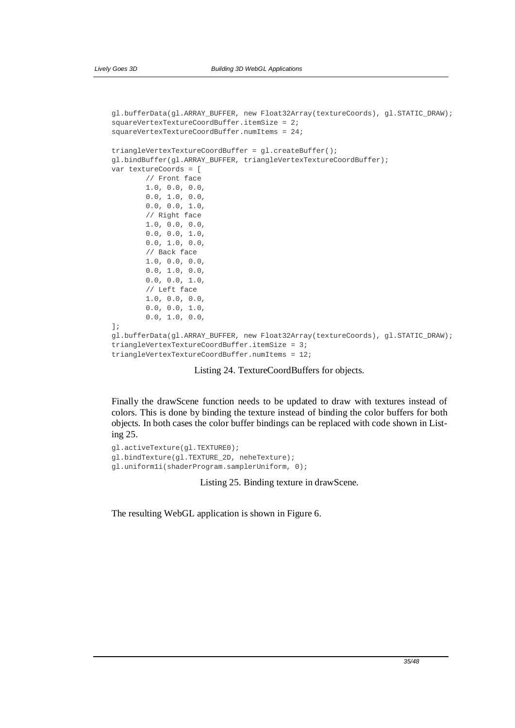```
gl.bufferData(gl.ARRAY_BUFFER, new Float32Array(textureCoords), gl.STATIC_DRAW); 
squareVertexTextureCoordBuffer.itemSize = 2; 
squareVertexTextureCoordBuffer.numItems = 24; 
triangleVertexTextureCoordBuffer = gl.createBuffer(); 
gl.bindBuffer(gl.ARRAY_BUFFER, triangleVertexTextureCoordBuffer); 
var textureCoords = [ 
         // Front face 
         1.0, 0.0, 0.0, 
         0.0, 1.0, 0.0, 
         0.0, 0.0, 1.0, 
         // Right face 
         1.0, 0.0, 0.0, 
        0.0, 0.0, 1.0, 0.0, 1.0, 0.0, 
         // Back face 
         1.0, 0.0, 0.0, 
        0.0, 1.0, 0.0,0.0, 0.0, 1.0, // Left face 
         1.0, 0.0, 0.0, 
         0.0, 0.0, 1.0, 
         0.0, 1.0, 0.0, 
]; 
gl.bufferData(gl.ARRAY_BUFFER, new Float32Array(textureCoords), gl.STATIC_DRAW); 
triangleVertexTextureCoordBuffer.itemSize = 3; 
triangleVertexTextureCoordBuffer.numItems = 12;
```
#### Listing 24. TextureCoordBuffers for objects.

Finally the drawScene function needs to be updated to draw with textures instead of colors. This is done by binding the texture instead of binding the color buffers for both objects. In both cases the color buffer bindings can be replaced with code shown in Listing 25.

```
gl.activeTexture(gl.TEXTURE0); 
gl.bindTexture(gl.TEXTURE_2D, neheTexture); 
gl.uniform1i(shaderProgram.samplerUniform, 0);
```
Listing 25. Binding texture in drawScene.

The resulting WebGL application is shown in Figure 6.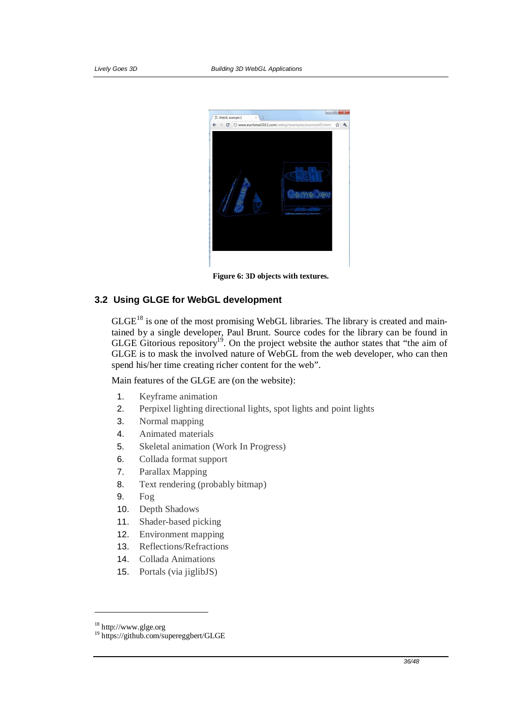

**Figure 6: 3D objects with textures.**

## **3.2 Using GLGE for WebGL development**

 $GLGE<sup>18</sup>$  is one of the most promising WebGL libraries. The library is created and maintained by a single developer, Paul Brunt. Source codes for the library can be found in GLGE Gitorious repository<sup>19</sup>. On the project website the author states that "the aim of GLGE is to mask the involved nature of WebGL from the web developer, who can then spend his/her time creating richer content for the web".

Main features of the GLGE are (on the website):

- 1. Keyframe animation
- 2. Perpixel lighting directional lights, spot lights and point lights
- 3. Normal mapping
- 4. Animated materials
- 5. Skeletal animation (Work In Progress)
- 6. Collada format support
- 7. Parallax Mapping
- 8. Text rendering (probably bitmap)
- 9. Fog
- 10. Depth Shadows
- 11. Shader-based picking
- 12. Environment mapping
- 13. Reflections/Refractions
- 14. Collada Animations
- 15. Portals (via jiglibJS)

1

<sup>18</sup> http://www.glge.org

<sup>19</sup> https://github.com/supereggbert/GLGE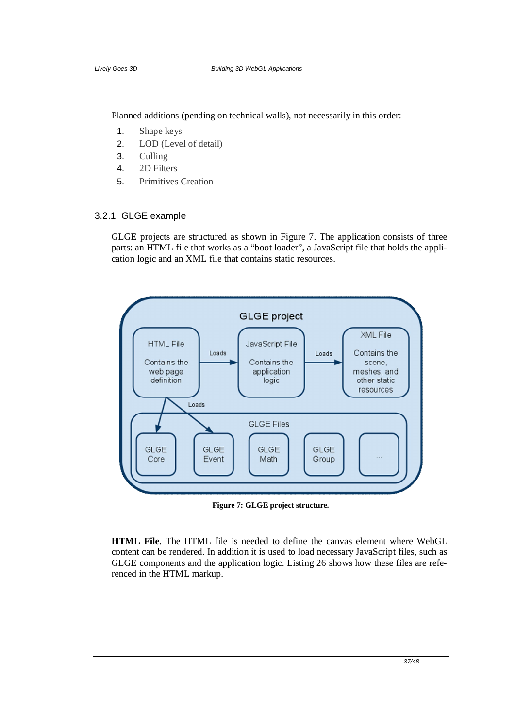Planned additions (pending on technical walls), not necessarily in this order:

- 1. Shape keys
- 2. LOD (Level of detail)
- 3. Culling
- 4. 2D Filters
- 5. Primitives Creation

## 3.2.1 GLGE example

GLGE projects are structured as shown in Figure 7. The application consists of three parts: an HTML file that works as a "boot loader", a JavaScript file that holds the application logic and an XML file that contains static resources.



**Figure 7: GLGE project structure.**

**HTML File**. The HTML file is needed to define the canvas element where WebGL content can be rendered. In addition it is used to load necessary JavaScript files, such as GLGE components and the application logic. Listing 26 shows how these files are referenced in the HTML markup.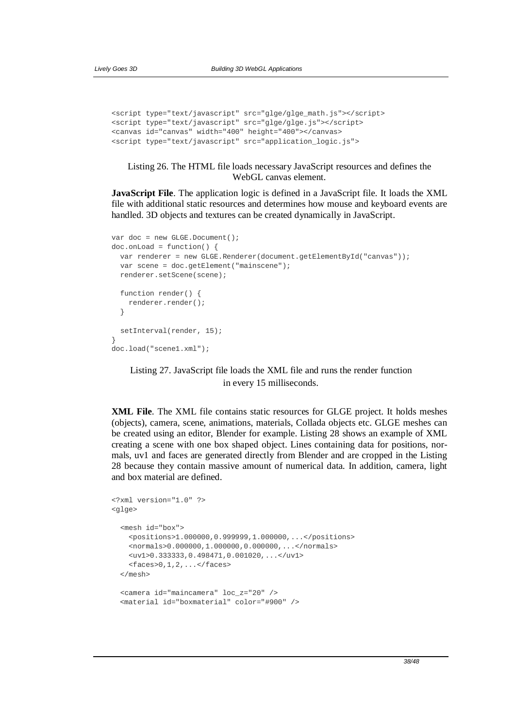```
<script type="text/javascript" src="glge/glge_math.js"></script> 
<script type="text/javascript" src="glge/glge.js"></script> 
<canvas id="canvas" width="400" height="400"></canvas> 
<script type="text/javascript" src="application_logic.js">
```
Listing 26. The HTML file loads necessary JavaScript resources and defines the WebGL canvas element.

**JavaScript File**. The application logic is defined in a JavaScript file. It loads the XML file with additional static resources and determines how mouse and keyboard events are handled. 3D objects and textures can be created dynamically in JavaScript.

```
var doc = new GLGE.Document();
doc.onLoad = function() { 
   var renderer = new GLGE.Renderer(document.getElementById("canvas")); 
  var scene = doc.getElement("mainscene"); 
  renderer.setScene(scene); 
   function render() { 
    renderer.render(); 
   } 
  setInterval(render, 15);
} 
doc.load("scene1.xml");
```
Listing 27. JavaScript file loads the XML file and runs the render function in every 15 milliseconds.

**XML File**. The XML file contains static resources for GLGE project. It holds meshes (objects), camera, scene, animations, materials, Collada objects etc. GLGE meshes can be created using an editor, Blender for example. Listing 28 shows an example of XML creating a scene with one box shaped object. Lines containing data for positions, normals, uv1 and faces are generated directly from Blender and are cropped in the Listing 28 because they contain massive amount of numerical data. In addition, camera, light and box material are defined.

```
<?xml version="1.0" ?> 
<glge> 
   <mesh id="box"> 
     <positions>1.000000,0.999999,1.000000,...</positions> 
     <normals>0.000000,1.000000,0.000000,...</normals> 
    <uv1>0.333333,0.498471,0.001020,...</uv1> 
   <faces>0,1,2,. . . </faces>
   </mesh> 
   <camera id="maincamera" loc_z="20" /> 
   <material id="boxmaterial" color="#900" />
```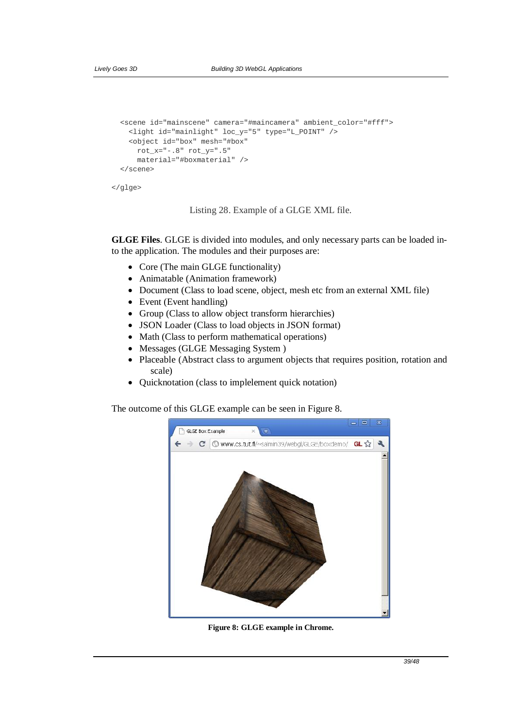```
 <scene id="mainscene" camera="#maincamera" ambient_color="#fff"> 
   <light id="mainlight" loc_y="5" type="L_POINT" /> 
   <object id="box" mesh="#box" 
    rot x=-.8" rot y=".5" material="#boxmaterial" /> 
 </scene>
```

```
</glge>
```
Listing 28. Example of a GLGE XML file.

**GLGE Files**. GLGE is divided into modules, and only necessary parts can be loaded into the application. The modules and their purposes are:

- Core (The main GLGE functionality)
- Animatable (Animation framework)
- Document (Class to load scene, object, mesh etc from an external XML file)
- $\bullet$  Event (Event handling)
- Group (Class to allow object transform hierarchies)
- JSON Loader (Class to load objects in JSON format)
- $\bullet$  Math (Class to perform mathematical operations)
- Messages (GLGE Messaging System )
- Placeable (Abstract class to argument objects that requires position, rotation and scale)
- Quicknotation (class to implelement quick notation)

The outcome of this GLGE example can be seen in Figure 8.



**Figure 8: GLGE example in Chrome.**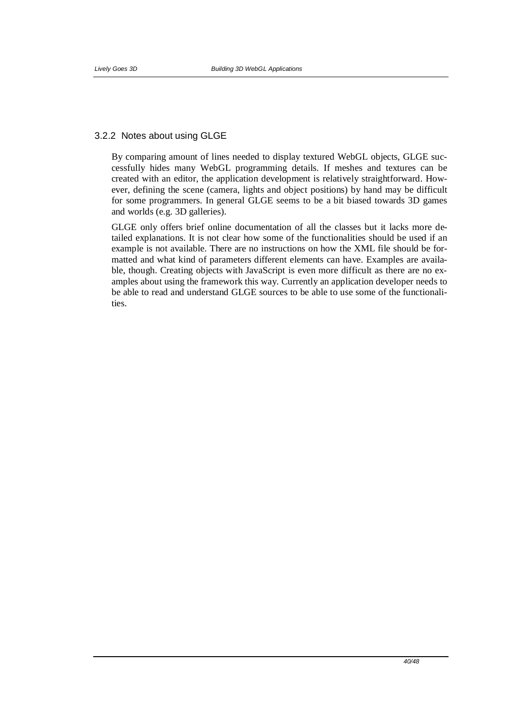## 3.2.2 Notes about using GLGE

By comparing amount of lines needed to display textured WebGL objects, GLGE successfully hides many WebGL programming details. If meshes and textures can be created with an editor, the application development is relatively straightforward. However, defining the scene (camera, lights and object positions) by hand may be difficult for some programmers. In general GLGE seems to be a bit biased towards 3D games and worlds (e.g. 3D galleries).

GLGE only offers brief online documentation of all the classes but it lacks more detailed explanations. It is not clear how some of the functionalities should be used if an example is not available. There are no instructions on how the XML file should be formatted and what kind of parameters different elements can have. Examples are available, though. Creating objects with JavaScript is even more difficult as there are no examples about using the framework this way. Currently an application developer needs to be able to read and understand GLGE sources to be able to use some of the functionalities.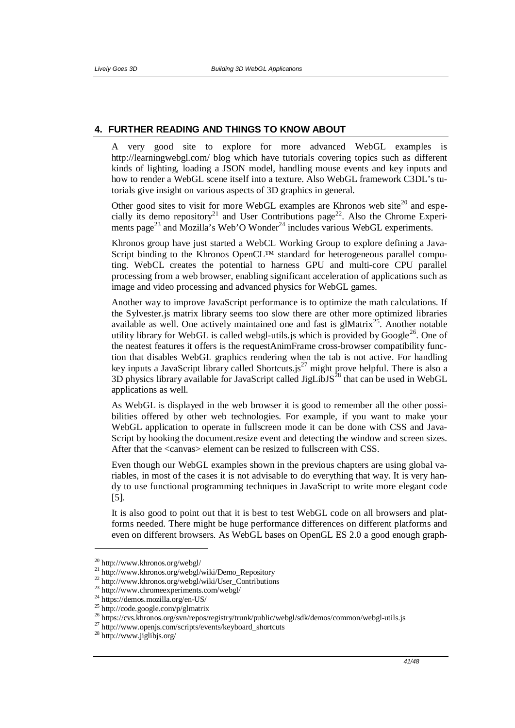## **4. FURTHER READING AND THINGS TO KNOW ABOUT**

A very good site to explore for more advanced WebGL examples is http://learningwebgl.com/ blog which have tutorials covering topics such as different kinds of lighting, loading a JSON model, handling mouse events and key inputs and how to render a WebGL scene itself into a texture. Also WebGL framework C3DL's tutorials give insight on various aspects of 3D graphics in general.

Other good sites to visit for more WebGL examples are Khronos web site $^{20}$  and especially its demo repository<sup>21</sup> and User Contributions page<sup>22</sup>. Also the Chrome Experiments page<sup>23</sup> and Mozilla's Web'O Wonder<sup>24</sup> includes various WebGL experiments.

Khronos group have just started a WebCL Working Group to explore defining a Java-Script binding to the Khronos OpenCL<sup>™</sup> standard for heterogeneous parallel computing. WebCL creates the potential to harness GPU and multi-core CPU parallel processing from a web browser, enabling significant acceleration of applications such as image and video processing and advanced physics for WebGL games.

Another way to improve JavaScript performance is to optimize the math calculations. If the Sylvester.js matrix library seems too slow there are other more optimized libraries available as well. One actively maintained one and fast is glMatrix<sup>25</sup>. Another notable utility library for WebGL is called webgl-utils is which is provided by Google<sup>26</sup>. One of the neatest features it offers is the requestAnimFrame cross-browser compatibility function that disables WebGL graphics rendering when the tab is not active. For handling key inputs a JavaScript library called Shortcuts.js<sup>27</sup> might prove helpful. There is also a 3D physics library available for JavaScript called JigLibJS $^{28}$  that can be used in WebGL applications as well.

As WebGL is displayed in the web browser it is good to remember all the other possibilities offered by other web technologies. For example, if you want to make your WebGL application to operate in fullscreen mode it can be done with CSS and Java-Script by hooking the document.resize event and detecting the window and screen sizes. After that the <canvas> element can be resized to fullscreen with CSS.

Even though our WebGL examples shown in the previous chapters are using global variables, in most of the cases it is not advisable to do everything that way. It is very handy to use functional programming techniques in JavaScript to write more elegant code [5].

It is also good to point out that it is best to test WebGL code on all browsers and platforms needed. There might be huge performance differences on different platforms and even on different browsers. As WebGL bases on OpenGL ES 2.0 a good enough graph-

<u>.</u>

<sup>20</sup> http://www.khronos.org/webgl/

<sup>21</sup> http://www.khronos.org/webgl/wiki/Demo\_Repository

<sup>22</sup> http://www.khronos.org/webgl/wiki/User\_Contributions

<sup>23</sup> http://www.chromeexperiments.com/webgl/

<sup>&</sup>lt;sup>24</sup> https://demos.mozilla.org/en-US/

<sup>25</sup> http://code.google.com/p/glmatrix

<sup>26</sup> https://cvs.khronos.org/svn/repos/registry/trunk/public/webgl/sdk/demos/common/webgl-utils.js

<sup>27</sup> http://www.openjs.com/scripts/events/keyboard\_shortcuts

<sup>28</sup> http://www.jiglibjs.org/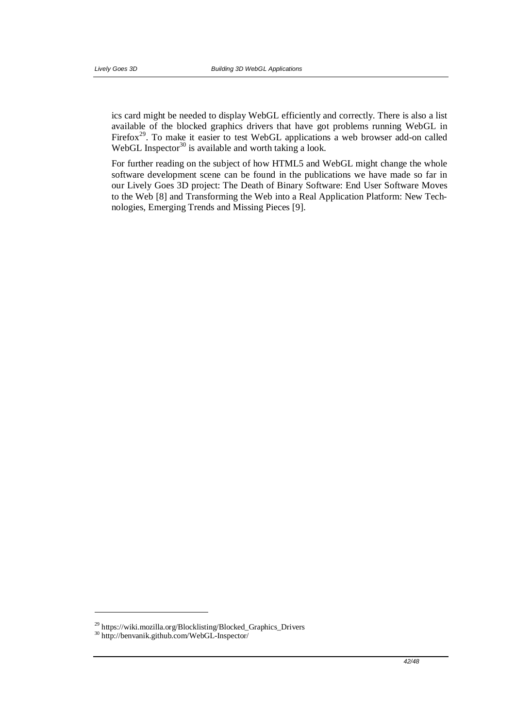ics card might be needed to display WebGL efficiently and correctly. There is also a list available of the blocked graphics drivers that have got problems running WebGL in Firefox<sup>29</sup>. To make it easier to test WebGL applications a web browser add-on called WebGL Inspector<sup>30</sup> is available and worth taking a look.

For further reading on the subject of how HTML5 and WebGL might change the whole software development scene can be found in the publications we have made so far in our Lively Goes 3D project: The Death of Binary Software: End User Software Moves to the Web [8] and Transforming the Web into a Real Application Platform: New Technologies, Emerging Trends and Missing Pieces [9].

1

<sup>&</sup>lt;sup>29</sup> https://wiki.mozilla.org/Blocklisting/Blocked\_Graphics\_Drivers

<sup>30</sup> http://benvanik.github.com/WebGL-Inspector/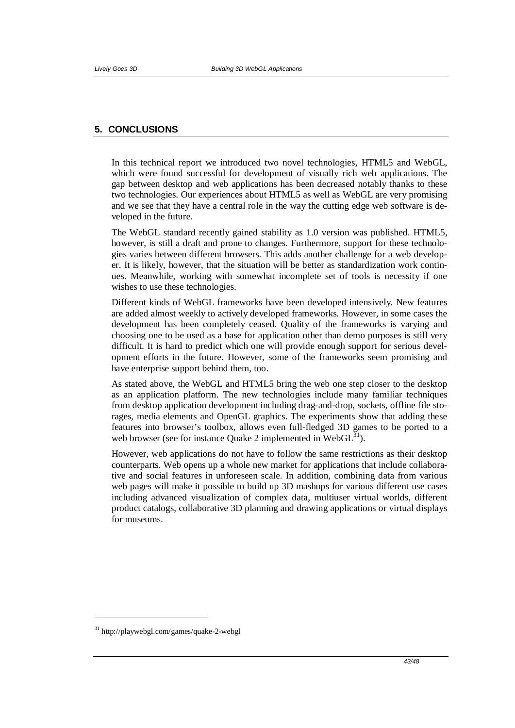## **5. CONCLUSIONS**

In this technical report we introduced two novel technologies, HTML5 and WebGL, which were found successful for development of visually rich web applications. The gap between desktop and web applications has been decreased notably thanks to these two technologies. Our experiences about HTML5 as well as WebGL are very promising and we see that they have a central role in the way the cutting edge web software is developed in the future.

The WebGL standard recently gained stability as 1.0 version was published. HTML5, however, is still a draft and prone to changes. Furthermore, support for these technologies varies between different browsers. This adds another challenge for a web developer. It is likely, however, that the situation will be better as standardization work continues. Meanwhile, working with somewhat incomplete set of tools is necessity if one wishes to use these technologies.

Different kinds of WebGL frameworks have been developed intensively. New features are added almost weekly to actively developed frameworks. However, in some cases the development has been completely ceased. Quality of the frameworks is varying and choosing one to be used as a base for application other than demo purposes is still very difficult. It is hard to predict which one will provide enough support for serious development efforts in the future. However, some of the frameworks seem promising and have enterprise support behind them, too.

As stated above, the WebGL and HTML5 bring the web one step closer to the desktop as an application platform. The new technologies include many familiar techniques from desktop application development including drag-and-drop, sockets, offline file storages, media elements and OpenGL graphics. The experiments show that adding these features into browser's toolbox, allows even full-fledged 3D games to be ported to a web browser (see for instance Quake 2 implemented in  $WebGL<sup>31</sup>$ ).

However, web applications do not have to follow the same restrictions as their desktop counterparts. Web opens up a whole new market for applications that include collaborative and social features in unforeseen scale. In addition, combining data from various web pages will make it possible to build up 3D mashups for various different use cases including advanced visualization of complex data, multiuser virtual worlds, different product catalogs, collaborative 3D planning and drawing applications or virtual displays for museums.

-

<sup>31</sup> http://playwebgl.com/games/quake-2-webgl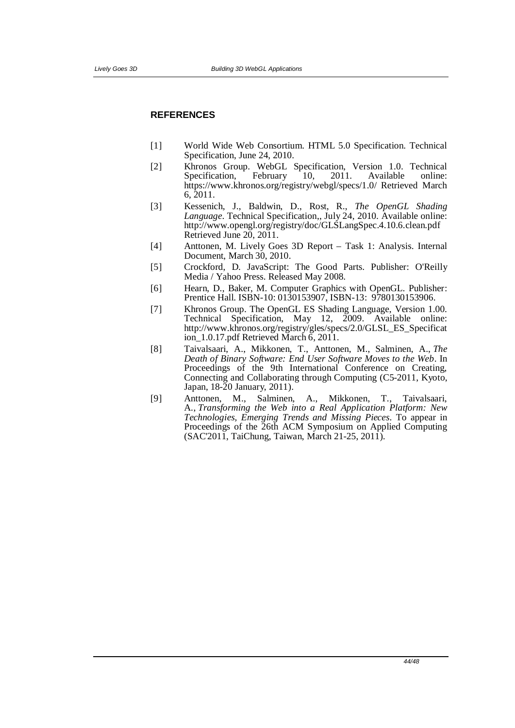#### **REFERENCES**

- [1] World Wide Web Consortium. HTML 5.0 Specification. Technical Specification, June 24, 2010.
- [2] Khronos Group. WebGL Specification, Version 1.0. Technical Specification, https://www.khronos.org/registry/webgl/specs/1.0/ Retrieved March 6, 2011.
- [3] Kessenich, J., Baldwin, D., Rost, R., *The OpenGL Shading Language*. Technical Specification,, July 24, 2010. Available online: http://www.opengl.org/registry/doc/GLSLangSpec.4.10.6.clean.pdf Retrieved June 20, 2011.
- [4] Anttonen, M. Lively Goes 3D Report Task 1: Analysis. Internal Document, March 30, 2010.
- [5] Crockford, D. JavaScript: The Good Parts. Publisher: O'Reilly Media / Yahoo Press. Released May 2008.
- [6] Hearn, D., Baker, M. Computer Graphics with OpenGL. Publisher: Prentice Hall. ISBN-10: 0130153907, ISBN-13: 9780130153906.
- [7] Khronos Group. The OpenGL ES Shading Language, Version 1.00. Technical Specification, May 12, 2009. Available online: http://www.khronos.org/registry/gles/specs/2.0/GLSL\_ES\_Specificat ion  $1.0.17$ .pdf Retrieved March  $6, 2011$ .
- [8] Taivalsaari, A., Mikkonen, T., Anttonen, M., Salminen, A., *The Death of Binary Software: End User Software Moves to the Web*. In Proceedings of the 9th International Conference on Creating, Connecting and Collaborating through Computing (C5-2011, Kyoto, Japan, 18-20 January, 2011).
- [9] Anttonen, M., Salminen, A., Mikkonen, T., Taivalsaari, A., *Transforming the Web into a Real Application Platform: New Technologies, Emerging Trends and Missing Pieces*. To appear in Proceedings of the 26th ACM Symposium on Applied Computing (SAC'2011, TaiChung, Taiwan, March 21-25, 2011).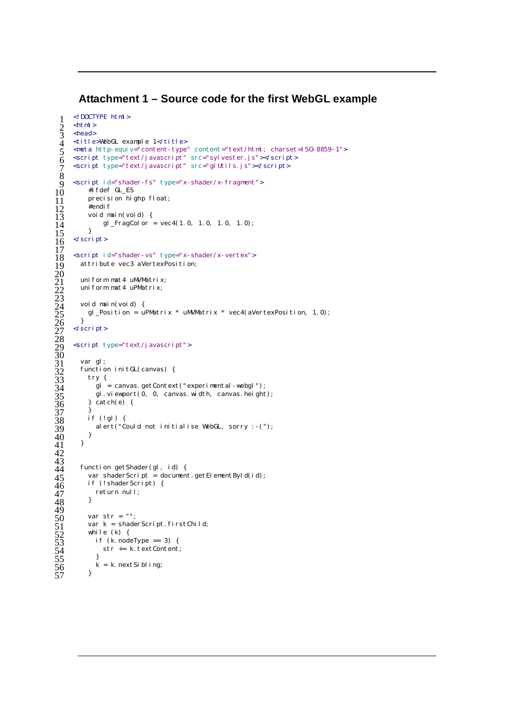# **Attachment 1 – Source code for the first WebGL example**

```
\begin{array}{ll} 1 < !\text{ DOCTYPE } \text{html} > \\ 2 < \text{html} > \\ 3 < \text{head} > \\ 4 < \text{tilt } ! \text{ else} \text{WebGL } \text{ex} \\ 5 < \text{meta } \text{http-equ} \end{array}\text{html}<head>
      <title>WebGL example 1</title>
 emeta http-equiv="content-type" content="text/html; charset=ISO-8859-1"><br>
script type="text/javascript" src="sylvester.js"></script><br>
script type="text/javascript" src="glUtils.js"></script>
      <script type="text/javascript" src="sylvester.js"></script> 6 
      <script type="text/javascript" src="glUtils.js"></script> 7 
\frac{9}{9} <script id="shader-fs" type="x-shader/x-fragment"> 10 #ifdef GL_ES
\begin{array}{ll} 10 & \text{#i fdef GLES} \\ 11 & \text{precision hi} \end{array}\frac{11}{12} precision highp float;<br>\frac{12}{12} #endif
\begin{array}{cc} 11 & \text{#endi } f \\ 13 & \text{void } m \end{array}12<br>13 void main(void) {<br>14 gl_FragColor
           gl_FragColor = vec(1.0, 1.0, 1.0, 1.0);
      </script>
      <script id="shader-vs" type="x-shader/x-vertex">
         attribute vec3 aVertexPosition;
         uni form mat4 uMVMatrix;
        uniform mat4 uPMatrix;
         void main(void) {
         gl_Position = uPMatrix * uMVMatrix * vec4(aVertexPosition, 1.0);
26 \frac{1}{26}</script>
      <script type="text/javascript">
         var gl;
         function initGL(canvas) {
            try \{gl = canvas.getContext("experimental-webgl");
               gl. viewport(0, 0, 0 canvas. width, canvas. height);
            } catch(e) {
37 \frac{1}{16}if (!gl) {
             alert("Could not initialise WebGL, sorry :-("); 39 
40 \qquad \frac{3}{2}4\overline{1} }
         function getShader(gl, id) {
            var shaderScript = document.getElementById(id);
            if (! shaderScript) \{return null;<br>}
 } 48 
            var str = "";
            var k = shaderScript. 1 + StChi[1]<br>while (k) {
              if (k.nodeType == 3)str += k. textContent;
55 \quad \frac{3}{2}k = k. nextSibling;
```

```
\frac{8}{9}\overline{15}\frac{16}{17}<br>\frac{17}{18} 20 
 23 
28 
 30 
 42 
\overline{43} 49 
57
```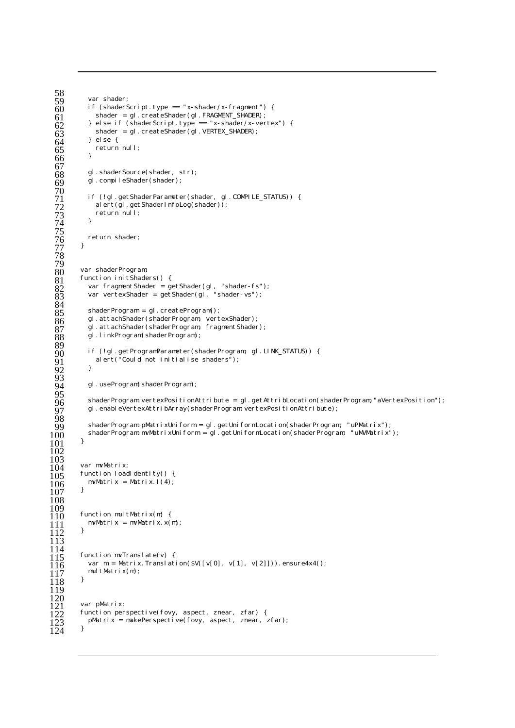```
58 
 59 var shader;<br>60 if (shader =<br>61 shader =
           if (shaderScript. type == "x-shader/x-fragment") {
              shader = gl.createShader(gl.FRAGMENT_SHADER);
             } else if (shaderScript.type == "x-shader/x-vertex") { 62 
              shader = gl.createShader(gl.VERTEX_SHADER);
            } else\{return null;<br>}
 66 {}^{3} 67 
           gl.shaderSource(shader, str);
           gl.compileShader(shader);
  70 
           if (!gl.getShaderParameter(shader, gl.COMPILE_STATUS)) {
              alert(gl.getShaderInfoLog(shader));
           return null;<br>}
  } 74 
  75 
         return shader;<br>}
  } 77 
  78 
  79 
         var shaderProgram;
         function initShaders() {
            var fragmentShader = getShader(gl, "shader-fs");
           var vertexShader = getShader(gl, "shader-vs");
  84 
            shaderProgram = gl.createProgram();
            gl.attachShader(shaderProgram, vertexShader);
            gl.attachShader(shaderProgram, fragmentShader);
           gl.linkProgram(shaderProgram);
  89 
            if (!gl.getProgramParameter(shaderProgram, gl.LINK_STATUS)) {
            alert("Could not initialise shaders");<br>}
  } 92 
 \overline{93} gl.useProgram(shaderProgram); 94 
  95 
            shaderProgram. vertexPositionAttribute = gl.getAttribLocation(shaderProgram,"aVertexPosition");
            gl.enableVertexAttribArray(shaderProgram.vertexPositionAttribute);
  98 
            shaderProgram.pMatrixUniform = gl.getUniformLocation(shaderProgram, "uPMatrix");
         shaderProgram.mvMatrixUniform = gl.getUniformLocation(shaderProgram, "uMVMatrix");
\frac{100}{101} 102 
\frac{103}{104}<br>\frac{104}{105}var mvMatrix;
\frac{107}{105} function loadIdentity() {<br>106 mvMatrix = Matrix.1(4);
         mvMatrix = Matrix.1(4);<br>}
 } 107 
 108 
 109 
\begin{cases} 110 & \text{function null} \text{Matrix(m)} \\ 111 & \text{mult} \end{cases}mvMatrix = mvMatrix.x(m);
 } 112 
 113 
\frac{114}{115}<br>115
         function mVTranslate(v) {
           var m = Matrix. Translation($V([v[0], v[1], v[2]])). ensure4x4();
         multMatrix(m);<br>}
\frac{117}{118} 119 
\frac{120}{121}<br>122var pMatrix;
\frac{122}{123} function perspective(fovy, aspect, znear, zfar) {<br>123 pMatrix = makePerspective(fovy, aspect, znear,
           pMatrix = makePerspective(fovy, aspect, znear, zfar);
124
```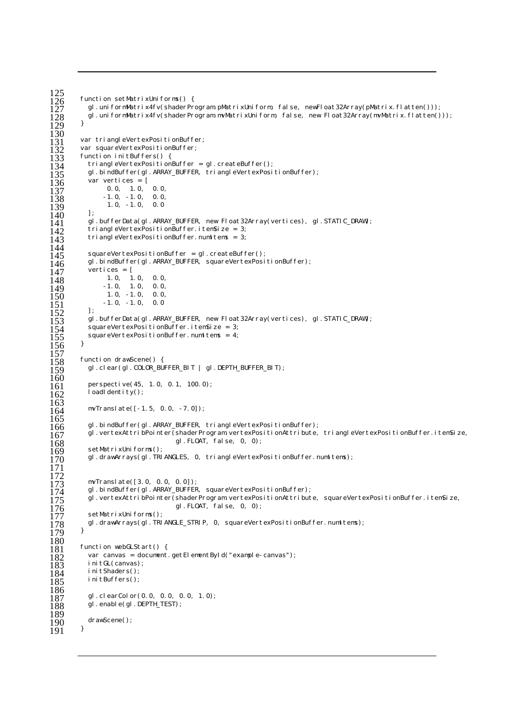```
\frac{125}{126}function setMatrixUniforms() {
              gl.uniformMatrix4fv(shaderProgram.pMatrixUniform, false, newFloat32Array(pMatrix.flatten()));
           gl.uniformMatrix4fv(shaderProgram.mvMatrixUniform, false, new Float32Array(mvMatrix.flatten()));<br>}
\overline{129} }
 130 
var tri angleVertexPositionBuffer;<br>132 var squareVertexPositionBuffer;
131 var squareVertexPositionBuffer;<br>133 function initBuffers() {
function initBuffers() {<br>133 function initBuffers() {<br>135 gl.bindBuffer(gl.ARRAY
              triangleVertexPositionBuffer = gl.createBuffer();
135 gl.bindBuffer(gl.ARRAY_BUFFER, triangleVertexPositionBuffer);<br>136 var vertices = [
1336 var vertices = [<br>137 0.0, 1.0,<br>138 -1.0, -1.0,<br>139 1.0, -1.0,
 0.0, 1.0, 0.0, 137 
\overline{138} -1.0, -1.0, 0.0,
              1.0, -1.0, 0.0\frac{140}{141}1<del>10</del><br>141 gl.bufferData(gl.ARRAY_BUFFER, new Float32Array(vertices), gl.STATIC_DRAW);<br>142 triangleVertexPositionBuffer.itemSize = 3;
triangleVertexPositionBuffer.itemSize = 3;<br>143 triangleVertexPositionBuffer.numltems = 3;
              triangleVertexPositionBuffer.numItems = 3;
 144 
 squareVertexPositionBuffer = gl.createBuffer(); 145 
146 gl.bindBuffer(gl.ARRAY_BUFFER, squareVertexPositionBuffer);<br>147 vertices = [
147 vertices = [\overline{148} 1.0, 1.0, 0.0,
149 -1.0, 1.0, 0.0,1.50 1.0, -1.0, 0.0,\begin{array}{ccccc}\n 1.50 & & 1.0, & -1.0, & 0.0 \\
 1.51 & & -1.0, & -1.0, & 0.0 \\
 1.52 & & 1: & & \n\end{array}\begin{array}{c} 152 \\ 153 \\ 154 \\ 155 \end{array}gl.bufferData(gl.ARRAY_BUFFER, new Float32Array(vertices), gl.STATIC_DRAW);
              squareVertexPositionBuffer.itemSize = 3;
           squareVertexPositionBuffer.numltems = 4;<br>}
 } 156 
\frac{157}{158}158 function drawScene() {<br>159    gl.clear(gl.COLOR_BU
              gl.clear(gl.COLOR_BUFFER_BIT | gl.DEPTH_BUFFER_BIT);
\frac{160}{161}161 perspective(45, 1.0, 0.1, 100.0);<br>162 loadldentity();
              \overline{\phantom{a}}loadIdentity();
163<br>164
               mvTranslate([-1.5, 0.0, -7.0]); 164 
165<br>166
gl.bindBuffer(gl.ARRAY_BUFFER, triangleVertexPositionBuffer);<br>167 gl.vertexAttribPointer(shaderProgram.vertexPositionAttribute,
gl.vertexAttribPointer(shaderProgram.vertexPositionAttribute, triangleVertexPositionBuffer.itemSize, 168 sql.FLOAT, false, 0, 0);
168<br>168 setMatrixUniforms();<br>169 setMatrixUniforms();
 setMatrixUniforms(); 169 
              gl.drawArrays(gl.TRIANGLES, 0, triangleVertexPositionBuffer.numItems);
 171 
\frac{172}{173}<br>\frac{173}{174}mvTranslate([3.0, 0.0, 0.0]);<br>
173 gl.bindBuffer(gl.ARRAY_BUFFER, squareVertexPositionBuffer);<br>
175 gl.vertexAttribPointer(shaderProgram.vertexPositionAttribut<br>
176 cottMatrivUsiferme().
              gl.vertexAttribPointer(shaderProgram.vertexPositionAttribute, squareVertexPositionBuffer.itemSize,
 gl.FLOAT, false, 0, 0); 176 
              setMatrixUniforms();
           gl.drawArrays(gl.TRIANGLE_STRIP, 0, squareVertexPositionBuffer.numItems);<br>}
\frac{178}{179}\begin{array}{c} 180 \\ 181 \end{array}180 function webGLStart() {<br>182 var canvas = document.<br>183 initGL(canvas);
              var canvas = document.getElementById("example-canvas");
182<br>183 initGL(canvas);<br>184 initShaders();
1834 initShaders();<br>185 initBuffers();
              initBuffers();
186<br>187
187 gl.clearColor(0.0, 0.0, 0.0, 1.0);<br>188 gl.enable(gl.DEPTH_TEST);
              gl.enable(gl.DEPTH_TEST);
189<br>190
           drawScene();<br>}
 } 191
```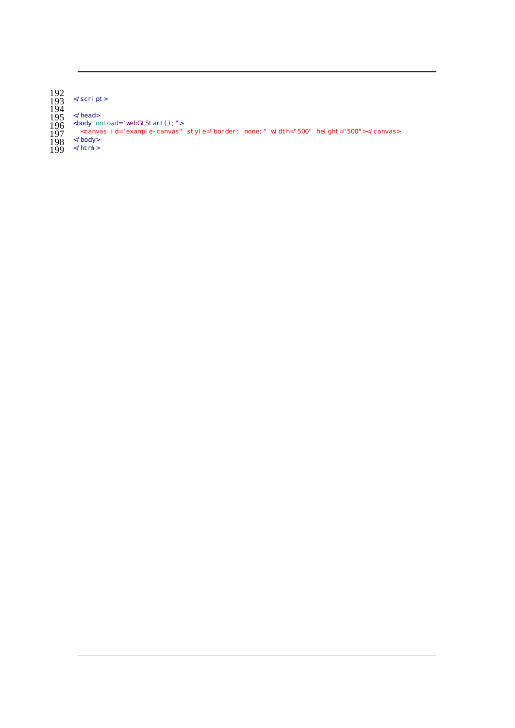192 </script>

194

</head>

 $\overline{196}$  <br/>>body onload="webGLStart();">

<canvas id="example-canvas" style="border: none;" width="500" height="500"></canvas> 197

 $198 \times /$ body>

 $199$   $\le$ /html>